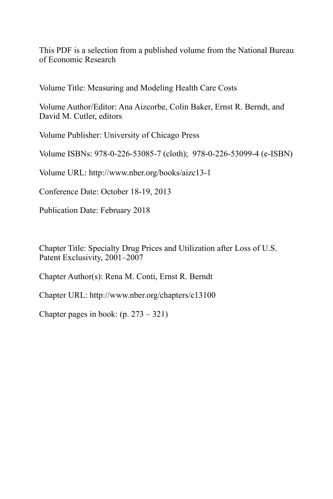This PDF is a selection from a published volume from the National Bureau of Economic Research

Volume Title: Measuring and Modeling Health Care Costs

Volume Author/Editor: Ana Aizcorbe, Colin Baker, Ernst R. Berndt, and David M. Cutler, editors

Volume Publisher: University of Chicago Press

Volume ISBNs: 978-0-226-53085-7 (cloth); 978-0-226-53099-4 (e-ISBN)

Volume URL: http://www.nber.org/books/aizc13-1

Conference Date: October 18-19, 2013

Publication Date: February 2018

Chapter Title: Specialty Drug Prices and Utilization after Loss of U.S. Patent Exclusivity, 2001–2007

Chapter Author(s): Rena M. Conti, Ernst R. Berndt

Chapter URL: http://www.nber.org/chapters/c13100

Chapter pages in book:  $(p. 273 - 321)$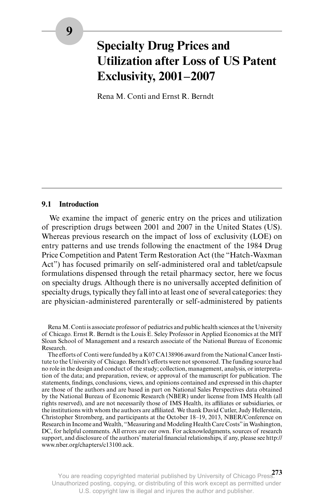# **Specialty Drug Prices and Utilization after Loss of US Patent Exclusivity, 2001–2007**

Rena M. Conti and Ernst R. Berndt

# **9.1 Introduction**

We examine the impact of generic entry on the prices and utilization of prescription drugs between 2001 and 2007 in the United States (US). Whereas previous research on the impact of loss of exclusivity (LOE) on entry patterns and use trends following the enactment of the 1984 Drug Price Competition and Patent Term Restoration Act (the "Hatch- Waxman Act") has focused primarily on self-administered oral and tablet/capsule formulations dispensed through the retail pharmacy sector, here we focus on specialty drugs. Although there is no universally accepted definition of specialty drugs, typically they fall into at least one of several categories: they are physician- administered parenterally or self- administered by patients

Rena M. Conti is associate professor of pediatrics and public health sciences at the University of Chicago. Ernst R. Berndt is the Louis E. Seley Professor in Applied Economics at the MIT Sloan School of Management and a research associate of the National Bureau of Economic Research.

The efforts of Conti were funded by a K07 CA138906 award from the National Cancer Institute to the University of Chicago. Berndt's efforts were not sponsored. The funding source had no role in the design and conduct of the study; collection, management, analysis, or interpretation of the data; and preparation, review, or approval of the manuscript for publication. The statements, findings, conclusions, views, and opinions contained and expressed in this chapter are those of the authors and are based in part on National Sales Perspectives data obtained by the National Bureau of Economic Research (NBER) under license from IMS Health (all rights reserved), and are not necessarily those of IMS Health, its affiliates or subsidiaries, or the institutions with whom the authors are affiliated. We thank David Cutler, Judy Hellerstein, Christopher Stromberg, and participants at the October 18–19, 2013, NBER/Conference on Research in Income and Wealth, "Measuring and Modeling Health Care Costs" in Washington, DC, for helpful comments. All errors are our own. For acknowledgments, sources of research support, and disclosure of the authors' material financial relationships, if any, please see http:// www.nber.org/chapters/c13100.ack.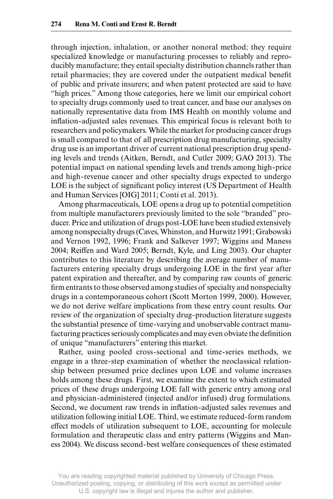through injection, inhalation, or another nonoral method; they require specialized knowledge or manufacturing processes to reliably and reproducibly manufacture; they entail specialty distribution channels rather than retail pharmacies; they are covered under the outpatient medical benefit of public and private insurers; and when patent protected are said to have "high prices." Among those categories, here we limit our empirical cohort to specialty drugs commonly used to treat cancer, and base our analyses on nationally representative data from IMS Health on monthly volume and inflation-adjusted sales revenues. This empirical focus is relevant both to researchers and policymakers. While the market for producing cancer drugs is small compared to that of all prescription drug manufacturing, specialty drug use is an important driver of current national prescription drug spending levels and trends (Aitken, Berndt, and Cutler 2009; GAO 2013). The potential impact on national spending levels and trends among high- price and high- revenue cancer and other specialty drugs expected to undergo LOE is the subject of significant policy interest (US Department of Health and Human Services [OIG] 2011; Conti et al. 2013).

Among pharmaceuticals, LOE opens a drug up to potential competition from multiple manufacturers previously limited to the sole "branded" producer. Price and utilization of drugs post- LOE have been studied extensively among nonspecialty drugs (Caves, Whinston, and Hurwitz 1991; Grabowski and Vernon 1992, 1996; Frank and Salkever 1997; Wiggins and Maness 2004; Reiffen and Ward 2005; Berndt, Kyle, and Ling 2003). Our chapter contributes to this literature by describing the average number of manufacturers entering specialty drugs undergoing LOE in the first year after patent expiration and thereafter, and by comparing raw counts of generic firm entrants to those observed among studies of specialty and nonspecialty drugs in a contemporaneous cohort (Scott Morton 1999, 2000). However, we do not derive welfare implications from these entry count results. Our review of the organization of specialty drug- production literature suggests the substantial presence of time- varying and unobservable contract manufacturing practices seriously complicates and may even obviate the definition of unique "manufacturers" entering this market.

Rather, using pooled cross- sectional and time- series methods, we engage in a three- step examination of whether the neoclassical relationship between presumed price declines upon LOE and volume increases holds among these drugs. First, we examine the extent to which estimated prices of these drugs undergoing LOE fall with generic entry among oral and physician- administered (injected and/or infused) drug formulations. Second, we document raw trends in inflation-adjusted sales revenues and utilization following initial LOE. Third, we estimate reduced- form random effect models of utilization subsequent to LOE, accounting for molecule formulation and therapeutic class and entry patterns (Wiggins and Maness 2004). We discuss second- best welfare consequences of these estimated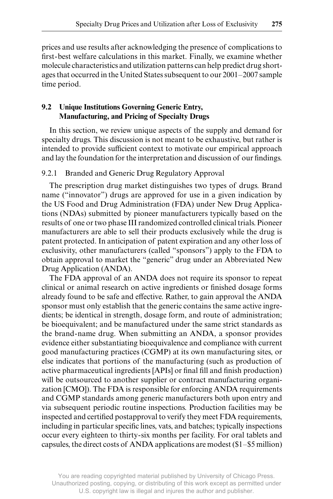prices and use results after acknowledging the presence of complications to first-best welfare calculations in this market. Finally, we examine whether molecule characteristics and utilization patterns can help predict drug shortages that occurred in the United States subsequent to our 2001–2007 sample time period.

# **9.2 Unique Institutions Governing Generic Entry, Manufacturing, and Pricing of Specialty Drugs**

In this section, we review unique aspects of the supply and demand for specialty drugs. This discussion is not meant to be exhaustive, but rather is intended to provide sufficient context to motivate our empirical approach and lay the foundation for the interpretation and discussion of our findings.

# 9.2.1 Branded and Generic Drug Regulatory Approval

The prescription drug market distinguishes two types of drugs. Brand name ("innovator") drugs are approved for use in a given indication by the US Food and Drug Administration (FDA) under New Drug Applications (NDAs) submitted by pioneer manufacturers typically based on the results of one or two phase III randomized controlled clinical trials. Pioneer manufacturers are able to sell their products exclusively while the drug is patent protected. In anticipation of patent expiration and any other loss of exclusivity, other manufacturers (called "sponsors") apply to the FDA to obtain approval to market the "generic" drug under an Abbreviated New Drug Application (ANDA).

The FDA approval of an ANDA does not require its sponsor to repeat clinical or animal research on active ingredients or finished dosage forms already found to be safe and effective. Rather, to gain approval the ANDA sponsor must only establish that the generic contains the same active ingredients; be identical in strength, dosage form, and route of administration; be bioequivalent; and be manufactured under the same strict standards as the brand- name drug. When submitting an ANDA, a sponsor provides evidence either substantiating bioequivalence and compliance with current good manufacturing practices (CGMP) at its own manufacturing sites, or else indicates that portions of the manufacturing (such as production of active pharmaceutical ingredients [APIs] or final fill and finish production) will be outsourced to another supplier or contract manufacturing organization [CMO]). The FDA is responsible for enforcing ANDA requirements and CGMP standards among generic manufacturers both upon entry and via subsequent periodic routine inspections. Production facilities may be inspected and certified postapproval to verify they meet FDA requirements, including in particular specific lines, vats, and batches; typically inspections occur every eighteen to thirty- six months per facility. For oral tablets and capsules, the direct costs of ANDA applications are modest (\$1–\$5 million)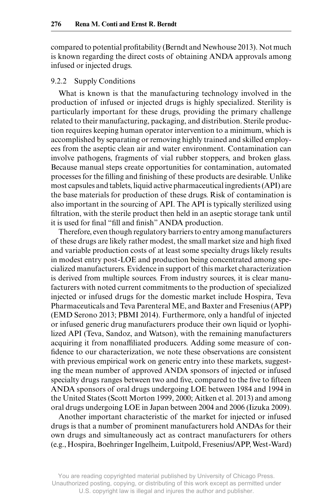compared to potential profitability (Berndt and Newhouse 2013). Not much is known regarding the direct costs of obtaining ANDA approvals among infused or injected drugs.

#### 9.2.2 Supply Conditions

What is known is that the manufacturing technology involved in the production of infused or injected drugs is highly specialized. Sterility is particularly important for these drugs, providing the primary challenge related to their manufacturing, packaging, and distribution. Sterile production requires keeping human operator intervention to a minimum, which is accomplished by separating or removing highly trained and skilled employees from the aseptic clean air and water environment. Contamination can involve pathogens, fragments of vial rubber stoppers, and broken glass. Because manual steps create opportunities for contamination, automated processes for the filling and finishing of these products are desirable. Unlike most capsules and tablets, liquid active pharmaceutical ingredients (API) are the base materials for production of these drugs. Risk of contamination is also important in the sourcing of API. The API is typically sterilized using filtration, with the sterile product then held in an aseptic storage tank until it is used for final "fill and finish" ANDA production.

Therefore, even though regulatory barriers to entry among manufacturers of these drugs are likely rather modest, the small market size and high fixed and variable production costs of at least some specialty drugs likely results in modest entry post-LOE and production being concentrated among specialized manufacturers. Evidence in support of this market characterization is derived from multiple sources. From industry sources, it is clear manufacturers with noted current commitments to the production of specialized injected or infused drugs for the domestic market include Hospira, Teva Pharmaceuticals and Teva Parenteral ME, and Baxter and Fresenius (APP) (EMD Serono 2013; PBMI 2014). Furthermore, only a handful of injected or infused generic drug manufacturers produce their own liquid or lyophilized API (Teva, Sandoz, and Watson), with the remaining manufacturers acquiring it from nonaffiliated producers. Adding some measure of confidence to our characterization, we note these observations are consistent with previous empirical work on generic entry into these markets, suggesting the mean number of approved ANDA sponsors of injected or infused specialty drugs ranges between two and five, compared to the five to fifteen ANDA sponsors of oral drugs undergoing LOE between 1984 and 1994 in the United States (Scott Morton 1999, 2000; Aitken et al. 2013) and among oral drugs undergoing LOE in Japan between 2004 and 2006 (Iizuka 2009).

Another important characteristic of the market for injected or infused drugs is that a number of prominent manufacturers hold ANDAs for their own drugs and simultaneously act as contract manufacturers for others (e.g., Hospira, Boehringer Ingelheim, Luitpold, Fresenius/APP, West- Ward)

You are reading copyrighted material published by University of Chicago Press. Unauthorized posting, copying, or distributing of this work except as permitted under U.S. copyright law is illegal and injures the author and publisher.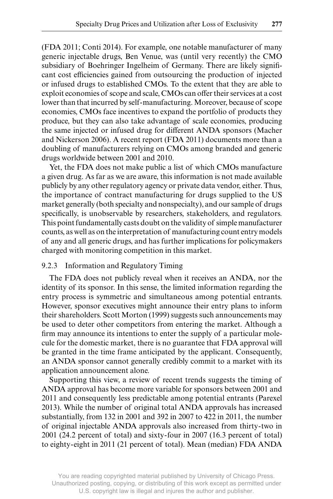(FDA 2011; Conti 2014). For example, one notable manufacturer of many generic injectable drugs, Ben Venue, was (until very recently) the CMO subsidiary of Boehringer Ingelheim of Germany. There are likely significant cost efficiencies gained from outsourcing the production of injected or infused drugs to established CMOs. To the extent that they are able to exploit economies of scope and scale, CMOs can offer their services at a cost lower than that incurred by self- manufacturing. Moreover, because of scope economies, CMOs face incentives to expand the portfolio of products they produce, but they can also take advantage of scale economies, producing the same injected or infused drug for different ANDA sponsors (Macher and Nickerson 2006). A recent report (FDA 2011) documents more than a doubling of manufacturers relying on CMOs among branded and generic drugs worldwide between 2001 and 2010.

Yet, the FDA does not make public a list of which CMOs manufacture a given drug. As far as we are aware, this information is not made available publicly by any other regulatory agency or private data vendor, either. Thus, the importance of contract manufacturing for drugs supplied to the US market generally (both specialty and nonspecialty), and our sample of drugs specifically, is unobservable by researchers, stakeholders, and regulators. This point fundamentally casts doubt on the validity of simple manufacturer counts, as well as on the interpretation of manufacturing count entry models of any and all generic drugs, and has further implications for policymakers charged with monitoring competition in this market.

### 9.2.3 Information and Regulatory Timing

The FDA does not publicly reveal when it receives an ANDA, nor the identity of its sponsor. In this sense, the limited information regarding the entry process is symmetric and simultaneous among potential entrants. However, sponsor executives might announce their entry plans to inform their shareholders. Scott Morton (1999) suggests such announcements may be used to deter other competitors from entering the market. Although a firm may announce its intentions to enter the supply of a particular molecule for the domestic market, there is no guarantee that FDA approval will be granted in the time frame anticipated by the applicant. Consequently, an ANDA sponsor cannot generally credibly commit to a market with its application announcement alone.

Supporting this view, a review of recent trends suggests the timing of ANDA approval has become more variable for sponsors between 2001 and 2011 and consequently less predictable among potential entrants (Parexel 2013). While the number of original total ANDA approvals has increased substantially, from 132 in 2001 and 392 in 2007 to 422 in 2011, the number of original injectable ANDA approvals also increased from thirty- two in 2001 (24.2 percent of total) and sixty- four in 2007 (16.3 percent of total) to eighty- eight in 2011 (21 percent of total). Mean (median) FDA ANDA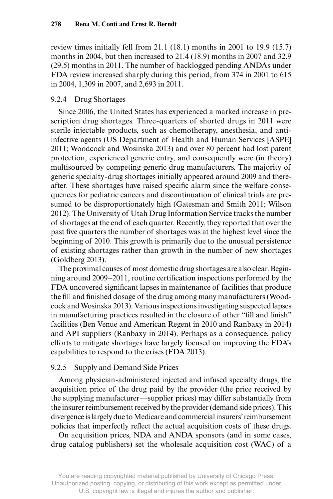review times initially fell from 21.1 (18.1) months in 2001 to 19.9 (15.7) months in 2004, but then increased to 21.4 (18.9) months in 2007 and 32.9 (29.5) months in 2011. The number of backlogged pending ANDAs under FDA review increased sharply during this period, from 374 in 2001 to 615 in 2004, 1,309 in 2007, and 2,693 in 2011.

#### 9.2.4 Drug Shortages

Since 2006, the United States has experienced a marked increase in prescription drug shortages. Three- quarters of shorted drugs in 2011 were sterile injectable products, such as chemotherapy, anesthesia, and antiinfective agents (US Department of Health and Human Services [ASPE] 2011; Woodcock and Wosinska 2013) and over 80 percent had lost patent protection, experienced generic entry, and consequently were (in theory) multisourced by competing generic drug manufacturers. The majority of generic specialty- drug shortages initially appeared around 2009 and thereafter. These shortages have raised specific alarm since the welfare consequences for pediatric cancers and discontinuation of clinical trials are presumed to be disproportionately high (Gatesman and Smith 2011; Wilson 2012). The University of Utah Drug Information Service tracks the number of shortages at the end of each quarter. Recently, they reported that over the past five quarters the number of shortages was at the highest level since the beginning of 2010. This growth is primarily due to the unusual persistence of existing shortages rather than growth in the number of new shortages (Goldberg 2013).

The proximal causes of most domestic drug shortages are also clear. Beginning around 2009–2011, routine certification inspections performed by the FDA uncovered significant lapses in maintenance of facilities that produce the fill and finished dosage of the drug among many manufacturers (Woodcock and Wosinska 2013). Various inspections investigating suspected lapses in manufacturing practices resulted in the closure of other "fill and finish" facilities (Ben Venue and American Regent in 2010 and Ranbaxy in 2014) and API suppliers (Ranbaxy in 2014). Perhaps as a consequence, policy efforts to mitigate shortages have largely focused on improving the FDA's capabilities to respond to the crises (FDA 2013).

#### 9.2.5 Supply and Demand Side Prices

Among physician- administered injected and infused specialty drugs, the acquisition price of the drug paid by the provider (the price received by the supplying manufacturer—supplier prices) may differ substantially from the insurer reimbursement received by the provider (demand side prices). This divergence is largely due to Medicare and commercial insurers' reimbursement policies that imperfectly reflect the actual acquisition costs of these drugs.

On acquisition prices, NDA and ANDA sponsors (and in some cases, drug catalog publishers) set the wholesale acquisition cost (WAC) of a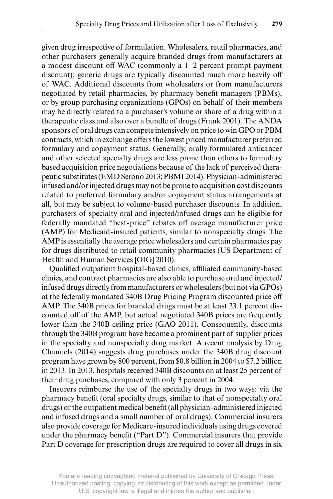given drug irrespective of formulation. Wholesalers, retail pharmacies, and other purchasers generally acquire branded drugs from manufacturers at a modest discount off WAC (commonly a 1–2 percent prompt payment discount); generic drugs are typically discounted much more heavily off of WAC. Additional discounts from wholesalers or from manufacturers negotiated by retail pharmacies, by pharmacy benefit managers (PBMs), or by group purchasing organizations (GPOs) on behalf of their members may be directly related to a purchaser's volume or share of a drug within a therapeutic class and also over a bundle of drugs (Frank 2001). The ANDA sponsors of oral drugs can compete intensively on price to win GPO or PBM contracts, which in exchange offers the lowest priced manufacturer preferred formulary and copayment status. Generally, orally formulated anticancer and other selected specialty drugs are less prone than others to formulary based acquisition price negotiations because of the lack of perceived therapeutic substitutes (EMD Serono 2013; PBMI 2014). Physician- administered infused and/or injected drugs may not be prone to acquisition cost discounts related to preferred formulary and/or copayment status arrangements at all, but may be subject to volume- based purchaser discounts. In addition, purchasers of specialty oral and injected/infused drugs can be eligible for federally mandated "best- price" rebates off average manufacturer price (AMP) for Medicaid- insured patients, similar to nonspecialty drugs. The AMP is essentially the average price wholesalers and certain pharmacies pay for drugs distributed to retail community pharmacies (US Department of Health and Human Services [OIG] 2010).

Qualified outpatient hospital-based clinics, affiliated community-based clinics, and contract pharmacies are also able to purchase oral and injected/ infused drugs directly from manufacturers or wholesalers (but not via GPOs) at the federally mandated 340B Drug Pricing Program discounted price off AMP. The 340B prices for branded drugs must be at least 23.1 percent discounted off of the AMP, but actual negotiated 340B prices are frequently lower than the 340B ceiling price (GAO 2011). Consequently, discounts through the 340B program have become a prominent part of supplier prices in the specialty and nonspecialty drug market. A recent analysis by Drug Channels (2014) suggests drug purchases under the 340B drug discount program have grown by 800 percent, from \$0.8 billion in 2004 to \$7.2 billion in 2013. In 2013, hospitals received 340B discounts on at least 25 percent of their drug purchases, compared with only 3 percent in 2004.

Insurers reimburse the use of the specialty drugs in two ways: via the pharmacy benefit (oral specialty drugs, similar to that of nonspecialty oral drugs) or the outpatient medical benefit (all physician-administered injected and infused drugs and a small number of oral drugs). Commercial insurers also provide coverage for Medicare- insured individuals using drugs covered under the pharmacy benefit ("Part D"). Commercial insurers that provide Part D coverage for prescription drugs are required to cover all drugs in six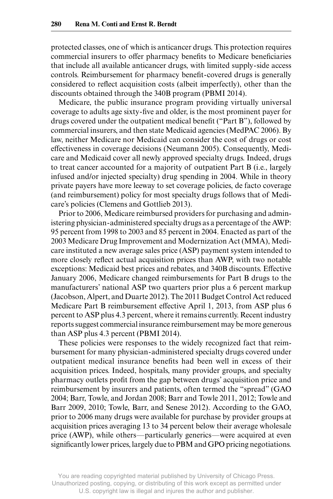protected classes, one of which is anticancer drugs. This protection requires commercial insurers to offer pharmacy benefits to Medicare beneficiaries that include all available anticancer drugs, with limited supply- side access controls. Reimbursement for pharmacy benefit-covered drugs is generally considered to reflect acquisition costs (albeit imperfectly), other than the discounts obtained through the 340B program (PBMI 2014).

Medicare, the public insurance program providing virtually universal coverage to adults age sixty-five and older, is the most prominent payer for drugs covered under the outpatient medical benefit ("Part B"), followed by commercial insurers, and then state Medicaid agencies (MedPAC 2006). By law, neither Medicare nor Medicaid can consider the cost of drugs or cost effectiveness in coverage decisions (Neumann 2005). Consequently, Medicare and Medicaid cover all newly approved specialty drugs. Indeed, drugs to treat cancer accounted for a majority of outpatient Part B (i.e., largely infused and/or injected specialty) drug spending in 2004. While in theory private payers have more leeway to set coverage policies, de facto coverage (and reimbursement) policy for most specialty drugs follows that of Medicare's policies (Clemens and Gottlieb 2013).

Prior to 2006, Medicare reimbursed providers for purchasing and administering physician- administered specialty drugs as a percentage of the AWP: 95 percent from 1998 to 2003 and 85 percent in 2004. Enacted as part of the 2003 Medicare Drug Improvement and Modernization Act (MMA), Medicare instituted a new average sales price (ASP) payment system intended to more closely reflect actual acquisition prices than AWP, with two notable exceptions: Medicaid best prices and rebates, and 340B discounts. Effective January 2006, Medicare changed reimbursements for Part B drugs to the manufacturers' national ASP two quarters prior plus a 6 percent markup (Jacobson, Alpert, and Duarte 2012). The 2011 Budget Control Act reduced Medicare Part B reimbursement effective April 1, 2013, from ASP plus 6 percent to ASP plus 4.3 percent, where it remains currently. Recent industry reports suggest commercial insurance reimbursement may be more generous than ASP plus 4.3 percent (PBMI 2014).

These policies were responses to the widely recognized fact that reimbursement for many physician- administered specialty drugs covered under outpatient medical insurance benefits had been well in excess of their acquisition prices. Indeed, hospitals, many provider groups, and specialty pharmacy outlets profi t from the gap between drugs' acquisition price and reimbursement by insurers and patients, often termed the "spread" (GAO 2004; Barr, Towle, and Jordan 2008; Barr and Towle 2011, 2012; Towle and Barr 2009, 2010; Towle, Barr, and Senese 2012). According to the GAO, prior to 2006 many drugs were available for purchase by provider groups at acquisition prices averaging 13 to 34 percent below their average wholesale price (AWP), while others—particularly generics—were acquired at even significantly lower prices, largely due to PBM and GPO pricing negotiations.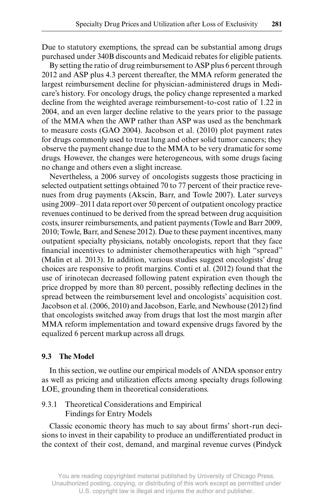Due to statutory exemptions, the spread can be substantial among drugs purchased under 340B discounts and Medicaid rebates for eligible patients.

By setting the ratio of drug reimbursement to ASP plus 6 percent through 2012 and ASP plus 4.3 percent thereafter, the MMA reform generated the largest reimbursement decline for physician- administered drugs in Medicare's history. For oncology drugs, the policy change represented a marked decline from the weighted average reimbursement- to- cost ratio of 1.22 in 2004, and an even larger decline relative to the years prior to the passage of the MMA when the AWP rather than ASP was used as the benchmark to measure costs (GAO 2004). Jacobson et al. (2010) plot payment rates for drugs commonly used to treat lung and other solid tumor cancers; they observe the payment change due to the MMA to be very dramatic for some drugs. However, the changes were heterogeneous, with some drugs facing no change and others even a slight increase.

Nevertheless, a 2006 survey of oncologists suggests those practicing in selected outpatient settings obtained 70 to 77 percent of their practice revenues from drug payments (Akscin, Barr, and Towle 2007). Later surveys using 2009–2011 data report over 50 percent of outpatient oncology practice revenues continued to be derived from the spread between drug acquisition costs, insurer reimbursements, and patient payments (Towle and Barr 2009, 2010; Towle, Barr, and Senese 2012). Due to these payment incentives, many outpatient specialty physicians, notably oncologists, report that they face financial incentives to administer chemotherapeutics with high "spread" (Malin et al. 2013). In addition, various studies suggest oncologists' drug choices are responsive to profit margins. Conti et al. (2012) found that the use of irinotecan decreased following patent expiration even though the price dropped by more than 80 percent, possibly reflecting declines in the spread between the reimbursement level and oncologists' acquisition cost. Jacobson et al. (2006, 2010) and Jacobson, Earle, and Newhouse (2012) find that oncologists switched away from drugs that lost the most margin after MMA reform implementation and toward expensive drugs favored by the equalized 6 percent markup across all drugs.

#### **9.3 The Model**

In this section, we outline our empirical models of ANDA sponsor entry as well as pricing and utilization effects among specialty drugs following LOE, grounding them in theoretical considerations.

# 9.3.1 Theoretical Considerations and Empirical Findings for Entry Models

Classic economic theory has much to say about firms' short-run decisions to invest in their capability to produce an undifferentiated product in the context of their cost, demand, and marginal revenue curves (Pindyck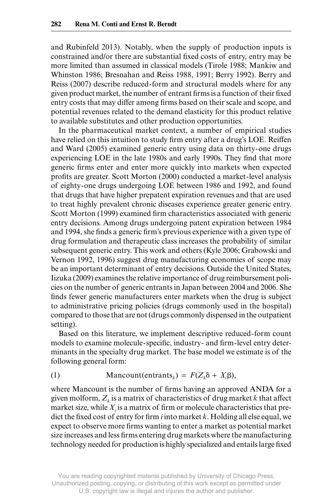and Rubinfeld 2013). Notably, when the supply of production inputs is constrained and/or there are substantial fixed costs of entry, entry may be more limited than assumed in classical models (Tirole 1988; Mankiw and Whinston 1986; Bresnahan and Reiss 1988, 1991; Berry 1992). Berry and Reiss (2007) describe reduced- form and structural models where for any given product market, the number of entrant firms is a function of their fixed entry costs that may differ among firms based on their scale and scope, and potential revenues related to the demand elasticity for this product relative to available substitutes and other production opportunities.

In the pharmaceutical market context, a number of empirical studies have relied on this intuition to study firm entry after a drug's LOE. Reiffen and Ward (2005) examined generic entry using data on thirty- one drugs experiencing LOE in the late 1980s and early 1990s. They find that more generic firms enter and enter more quickly into markets when expected profits are greater. Scott Morton (2000) conducted a market-level analysis of eighty- one drugs undergoing LOE between 1986 and 1992, and found that drugs that have higher prepatent expiration revenues and that are used to treat highly prevalent chronic diseases experience greater generic entry. Scott Morton (1999) examined firm characteristics associated with generic entry decisions. Among drugs undergoing patent expiration between 1984 and 1994, she finds a generic firm's previous experience with a given type of drug formulation and therapeutic class increases the probability of similar subsequent generic entry. This work and others (Kyle 2006; Grabowski and Vernon 1992, 1996) suggest drug manufacturing economies of scope may be an important determinant of entry decisions. Outside the United States, Iizuka (2009) examines the relative importance of drug reimbursement policies on the number of generic entrants in Japan between 2004 and 2006. She finds fewer generic manufacturers enter markets when the drug is subject to administrative pricing policies (drugs commonly used in the hospital) compared to those that are not (drugs commonly dispensed in the outpatient setting).

Based on this literature, we implement descriptive reduced- form count models to examine molecule-specific, industry- and firm-level entry determinants in the specialty drug market. The base model we estimate is of the following general form:

(1) Mancount(entrants<sub>k</sub>) =  $F(Z_k\delta + X_i\beta)$ ,

where Mancount is the number of firms having an approved ANDA for a given molform,  $Z_k$  is a matrix of characteristics of drug market *k* that affect market size, while  $X_i$  is a matrix of firm or molecule characteristics that predict the fixed cost of entry for firm *i* into market  $k$ . Holding all else equal, we expect to observe more firms wanting to enter a market as potential market size increases and less firms entering drug markets where the manufacturing technology needed for production is highly specialized and entails large fixed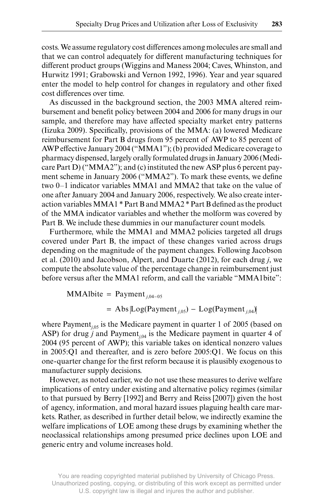costs. We assume regulatory cost differences among molecules are small and that we can control adequately for different manufacturing techniques for different product groups (Wiggins and Maness 2004; Caves, Whinston, and Hurwitz 1991; Grabowski and Vernon 1992, 1996). Year and year squared enter the model to help control for changes in regulatory and other fixed cost differences over time.

As discussed in the background section, the 2003 MMA altered reimbursement and benefit policy between 2004 and 2006 for many drugs in our sample, and therefore may have affected specialty market entry patterns (Iizuka 2009). Specifically, provisions of the MMA: (a) lowered Medicare reimbursement for Part B drugs from 95 percent of AWP to 85 percent of AWP effective January 2004 ("MMA1"); (b) provided Medicare coverage to pharmacy dispensed, largely orally formulated drugs in January 2006 (Medicare Part D) ("MMA2"); and (c) instituted the new ASP plus 6 percent payment scheme in January 2006 ("MMA2"). To mark these events, we define two 0–1 indicator variables MMA1 and MMA2 that take on the value of one after January 2004 and January 2006, respectively. We also create interaction variables MMA1 \* Part B and MMA2 \* Part B defined as the product of the MMA indicator variables and whether the molform was covered by Part B. We include these dummies in our manufacturer count models.

Furthermore, while the MMA1 and MMA2 policies targeted all drugs covered under Part B, the impact of these changes varied across drugs depending on the magnitude of the payment changes. Following Jacobson et al. (2010) and Jacobson, Alpert, and Duarte (2012), for each drug *j*, we compute the absolute value of the percentage change in reimbursement just before versus after the MMA1 reform, and call the variable "MMA1bite":

> MMA1bite = Payment*<sup>j</sup>*,04−<sup>05</sup>  $=$  Abs  $\log(Payment_{i,05}) - Log(Payment_{i,04})$

where Payment<sub>*i*,05</sub> is the Medicare payment in quarter 1 of 2005 (based on ASP) for drug  $\hat{j}$  and Payment<sub>*i*,04</sub> is the Medicare payment in quarter 4 of 2004 (95 percent of AWP); this variable takes on identical nonzero values in 2005:Q1 and thereafter, and is zero before 2005:Q1. We focus on this one-quarter change for the first reform because it is plausibly exogenous to manufacturer supply decisions.

However, as noted earlier, we do not use these measures to derive welfare implications of entry under existing and alternative policy regimes (similar to that pursued by Berry [1992] and Berry and Reiss [2007]) given the host of agency, information, and moral hazard issues plaguing health care markets. Rather, as described in further detail below, we indirectly examine the welfare implications of LOE among these drugs by examining whether the neoclassical relationships among presumed price declines upon LOE and generic entry and volume increases hold.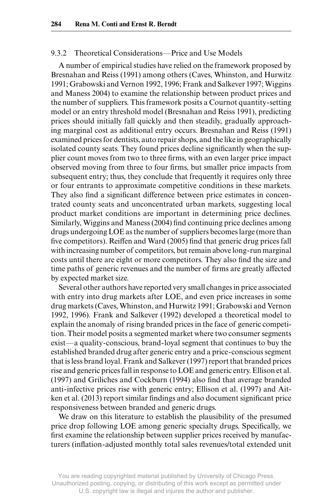# 9.3.2 Theoretical Considerations—Price and Use Models

A number of empirical studies have relied on the framework proposed by Bresnahan and Reiss (1991) among others (Caves, Whinston, and Hurwitz 1991; Grabowski and Vernon 1992, 1996; Frank and Salkever 1997; Wiggins and Maness 2004) to examine the relationship between product prices and the number of suppliers. This framework posits a Cournot quantity- setting model or an entry threshold model (Bresnahan and Reiss 1991), predicting prices should initially fall quickly and then steadily, gradually approaching marginal cost as additional entry occurs. Bresnahan and Reiss (1991) examined prices for dentists, auto repair shops, and the like in geographically isolated county seats. They found prices decline significantly when the supplier count moves from two to three firms, with an even larger price impact observed moving from three to four firms, but smaller price impacts from subsequent entry; thus, they conclude that frequently it requires only three or four entrants to approximate competitive conditions in these markets. They also find a significant difference between price estimates in concentrated county seats and unconcentrated urban markets, suggesting local product market conditions are important in determining price declines. Similarly, Wiggins and Maness (2004) find continuing price declines among drugs undergoing LOE as the number of suppliers becomes large (more than five competitors). Reiffen and Ward (2005) find that generic drug prices fall with increasing number of competitors, but remain above long-run marginal costs until there are eight or more competitors. They also find the size and time paths of generic revenues and the number of firms are greatly affected by expected market size.

Several other authors have reported very small changes in price associated with entry into drug markets after LOE, and even price increases in some drug markets (Caves, Whinston, and Hurwitz 1991; Grabowski and Vernon 1992, 1996). Frank and Salkever (1992) developed a theoretical model to explain the anomaly of rising branded prices in the face of generic competition. Their model posits a segmented market where two consumer segments exist—a quality- conscious, brand- loyal segment that continues to buy the established branded drug after generic entry and a price- conscious segment that is less brand loyal. Frank and Salkever (1997) report that branded prices rise and generic prices fall in response to LOE and generic entry. Ellison et al.  $(1997)$  and Griliches and Cockburn  $(1994)$  also find that average branded anti- infective prices rise with generic entry; Ellison et al. (1997) and Aitken et al. (2013) report similar findings and also document significant price responsiveness between branded and generic drugs.

We draw on this literature to establish the plausibility of the presumed price drop following LOE among generic specialty drugs. Specifically, we first examine the relationship between supplier prices received by manufacturers (inflation-adjusted monthly total sales revenues/total extended unit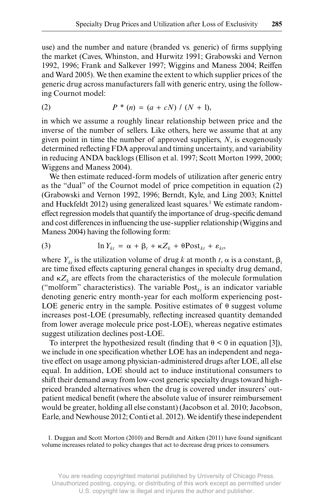use) and the number and nature (branded vs. generic) of firms supplying the market (Caves, Whinston, and Hurwitz 1991; Grabowski and Vernon 1992, 1996; Frank and Salkever 1997; Wiggins and Maness 2004; Reiffen and Ward 2005). We then examine the extent to which supplier prices of the generic drug across manufacturers fall with generic entry, using the following Cournot model:

(2) 
$$
P^*(n) = (a + cN) / (N + 1),
$$

in which we assume a roughly linear relationship between price and the inverse of the number of sellers. Like others, here we assume that at any given point in time the number of approved suppliers, *N*, is exogenously determined reflecting FDA approval and timing uncertainty, and variability in reducing ANDA backlogs (Ellison et al. 1997; Scott Morton 1999, 2000; Wiggens and Maness 2004).

We then estimate reduced-form models of utilization after generic entry as the "dual" of the Cournot model of price competition in equation (2) (Grabowski and Vernon 1992, 1996; Berndt, Kyle, and Ling 2003; Knittel and Huckfeldt 2012) using generalized least squares.<sup>1</sup> We estimate randomeffect regression models that quantify the importance of drug-specific demand and cost differences in influencing the use-supplier relationship (Wiggins and Maness 2004) having the following form:

(3) 
$$
\ln Y_{kt} = \alpha + \beta_t + \kappa Z_k + \theta \text{Post}_{kt} + \varepsilon_{kt},
$$

where  $Y_k$  is the utilization volume of drug k at month t,  $\alpha$  is a constant,  $\beta$ , are time fixed effects capturing general changes in specialty drug demand, and  $\kappa Z_k$  are effects from the characteristics of the molecule formulation ("molform" characteristics). The variable  $Post_{kt}$  is an indicator variable denoting generic entry month- year for each molform experiencing post-LOE generic entry in the sample. Positive estimates of  $\theta$  suggest volume increases post-LOE (presumably, reflecting increased quantity demanded from lower average molecule price post-LOE), whereas negative estimates suggest utilization declines post-LOE.

To interpret the hypothesized result (finding that  $\theta \le 0$  in equation [3]), we include in one specification whether LOE has an independent and negative effect on usage among physician-administered drugs after LOE, all else equal. In addition, LOE should act to induce institutional consumers to shift their demand away from low- cost generic specialty drugs toward highpriced branded alternatives when the drug is covered under insurers' outpatient medical benefit (where the absolute value of insurer reimbursement would be greater, holding all else constant) (Jacobson et al. 2010; Jacobson, Earle, and Newhouse 2012; Conti et al. 2012). We identify these independent

<sup>1.</sup> Duggan and Scott Morton (2010) and Berndt and Aitken (2011) have found significant volume increases related to policy changes that act to decrease drug prices to consumers.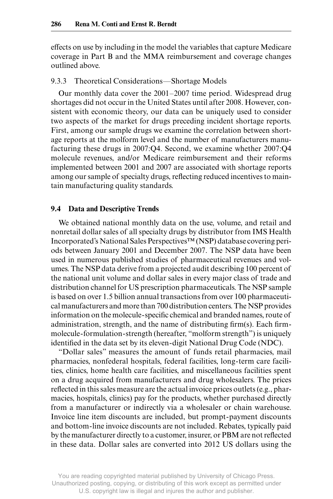effects on use by including in the model the variables that capture Medicare coverage in Part B and the MMA reimbursement and coverage changes outlined above.

#### 9.3.3 Theoretical Considerations—Shortage Models

Our monthly data cover the 2001–2007 time period. Widespread drug shortages did not occur in the United States until after 2008. However, consistent with economic theory, our data can be uniquely used to consider two aspects of the market for drugs preceding incident shortage reports. First, among our sample drugs we examine the correlation between shortage reports at the molform level and the number of manufacturers manufacturing these drugs in 2007:Q4. Second, we examine whether 2007:Q4 molecule revenues, and/or Medicare reimbursement and their reforms implemented between 2001 and 2007 are associated with shortage reports among our sample of specialty drugs, reflecting reduced incentives to maintain manufacturing quality standards.

#### **9.4 Data and Descriptive Trends**

We obtained national monthly data on the use, volume, and retail and nonretail dollar sales of all specialty drugs by distributor from IMS Health Incorporated's National Sales Perspectives™ (NSP) database covering periods between January 2001 and December 2007. The NSP data have been used in numerous published studies of pharmaceutical revenues and volumes. The NSP data derive from a projected audit describing 100 percent of the national unit volume and dollar sales in every major class of trade and distribution channel for US prescription pharmaceuticals. The NSP sample is based on over 1.5 billion annual transactions from over 100 pharmaceutical manufacturers and more than 700 distribution centers. The NSP provides information on the molecule-specific chemical and branded names, route of administration, strength, and the name of distributing firm(s). Each firmmolecule- formulation- strength (hereafter, "molform strength") is uniquely identified in the data set by its eleven-digit National Drug Code (NDC).

"Dollar sales" measures the amount of funds retail pharmacies, mail pharmacies, nonfederal hospitals, federal facilities, long- term care facilities, clinics, home health care facilities, and miscellaneous facilities spent on a drug acquired from manufacturers and drug wholesalers. The prices reflected in this sales measure are the actual invoice prices outlets (e.g., pharmacies, hospitals, clinics) pay for the products, whether purchased directly from a manufacturer or indirectly via a wholesaler or chain warehouse. Invoice line item discounts are included, but prompt- payment discounts and bottom- line invoice discounts are not included. Rebates, typically paid by the manufacturer directly to a customer, insurer, or PBM are not reflected in these data. Dollar sales are converted into 2012 US dollars using the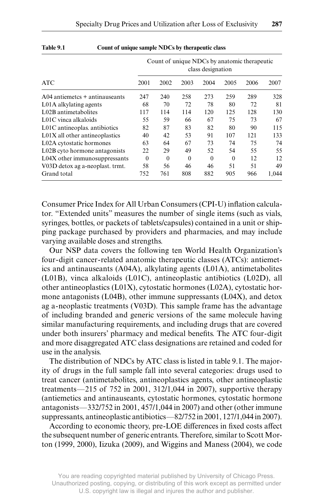|                                  |          |          |          | class designation |          | Count of unique NDCs by anatomic therapeutic |       |
|----------------------------------|----------|----------|----------|-------------------|----------|----------------------------------------------|-------|
| <b>ATC</b>                       | 2001     | 2002     | 2003     | 2004              | 2005     | 2006                                         | 2007  |
| $A04$ antiemetcs + antinauseants | 247      | 240      | 258      | 273               | 259      | 289                                          | 328   |
| L01A alkylating agents           | 68       | 70       | 72       | 78                | 80       | 72                                           | 81    |
| L02B antimetabolites             | 117      | 114      | 114      | 120               | 125      | 128                                          | 130   |
| L01C vinca alkaloids             | 55       | 59       | 66       | 67                | 75       | 73                                           | 67    |
| L01C antineoplas. antibiotics    | 82       | 87       | 83       | 82                | 80       | 90                                           | 115   |
| $L01X$ all other antineoplastics | 40       | 42       | 53       | 91                | 107      | 121                                          | 133   |
| L02A cytostatic hormones         | 63       | 64       | 67       | 73                | 74       | 75                                           | 74    |
| L02B cyto hormone antagonists    | 22       | 29       | 49       | 52                | 54       | 55                                           | 55    |
| L04X other immunosuppressants    | $\theta$ | $\theta$ | $\theta$ | $\theta$          | $\theta$ | 12                                           | 12    |
| V03D detox ag a-neoplast. trmt.  | 58       | 56       | 46       | 46                | 51       | 51                                           | 49    |
| Grand total                      | 752      | 761      | 808      | 882               | 905      | 966                                          | 1.044 |

#### **Table 9.1 Count of unique sample NDCs by therapeutic class**

Consumer Price Index for All Urban Consumers (CPI-U) inflation calculator. "Extended units" measures the number of single items (such as vials, syringes, bottles, or packets of tablets/capsules) contained in a unit or shipping package purchased by providers and pharmacies, and may include varying available doses and strengths.

Our NSP data covers the following ten World Health Organization's four- digit cancer- related anatomic therapeutic classes (ATCs): antiemetics and antinauseants (A04A), alkylating agents (L01A), antimetabolites (L01B), vinca alkaloids (L01C), antineoplastic antibiotics (L02D), all other antineoplastics (L01X), cytostatic hormones (L02A), cytostatic hormone antagonists (L04B), other immune suppressants (L04X), and detox ag a- neoplastic treatments (V03D). This sample frame has the advantage of including branded and generic versions of the same molecule having similar manufacturing requirements, and including drugs that are covered under both insurers' pharmacy and medical benefits. The ATC four-digit and more disaggregated ATC class designations are retained and coded for use in the analysis.

The distribution of NDCs by ATC class is listed in table 9.1. The majority of drugs in the full sample fall into several categories: drugs used to treat cancer (antimetabolites, antineoplastics agents, other antineoplastic treatments—215 of 752 in 2001, 312/1,044 in 2007), supportive therapy (antiemetics and antinauseants, cytostatic hormones, cytostatic hormone antagonists—332/752 in 2001, 457/1,044 in 2007) and other (other immune suppressants, antineoplastic antibiotics—82/752 in 2001, 127/1,044 in 2007).

According to economic theory, pre-LOE differences in fixed costs affect the subsequent number of generic entrants. Therefore, similar to Scott Morton (1999, 2000), Iizuka (2009), and Wiggins and Maness (2004), we code

You are reading copyrighted material published by University of Chicago Press. Unauthorized posting, copying, or distributing of this work except as permitted under U.S. copyright law is illegal and injures the author and publisher.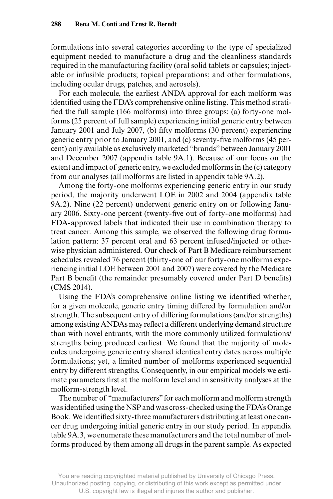formulations into several categories according to the type of specialized equipment needed to manufacture a drug and the cleanliness standards required in the manufacturing facility (oral solid tablets or capsules; injectable or infusible products; topical preparations; and other formulations, including ocular drugs, patches, and aerosols).

For each molecule, the earliest ANDA approval for each molform was identified using the FDA's comprehensive online listing. This method stratified the full sample (166 molforms) into three groups: (a) forty-one molforms (25 percent of full sample) experiencing initial generic entry between January 2001 and July 2007, (b) fifty molforms (30 percent) experiencing generic entry prior to January 2001, and (c) seventy-five molforms (45 percent) only available as exclusively marketed "brands" between January 2001 and December 2007 (appendix table 9A.1). Because of our focus on the extent and impact of generic entry, we excluded molforms in the (c) category from our analyses (all molforms are listed in appendix table 9A.2).

Among the forty-one molforms experiencing generic entry in our study period, the majority underwent LOE in 2002 and 2004 (appendix table 9A.2). Nine (22 percent) underwent generic entry on or following January 2006. Sixty-one percent (twenty-five out of forty-one molforms) had FDA- approved labels that indicated their use in combination therapy to treat cancer. Among this sample, we observed the following drug formulation pattern: 37 percent oral and 63 percent infused/injected or otherwise physician administered. Our check of Part B Medicare reimbursement schedules revealed 76 percent (thirty- one of our forty- one molforms experiencing initial LOE between 2001 and 2007) were covered by the Medicare Part B benefit (the remainder presumably covered under Part D benefits) (CMS 2014).

Using the FDA's comprehensive online listing we identified whether, for a given molecule, generic entry timing differed by formulation and/or strength. The subsequent entry of differing formulations (and/or strengths) among existing ANDAs may reflect a different underlying demand structure than with novel entrants, with the more commonly utilized formulations/ strengths being produced earliest. We found that the majority of molecules undergoing generic entry shared identical entry dates across multiple formulations; yet, a limited number of molforms experienced sequential entry by different strengths. Consequently, in our empirical models we estimate parameters first at the molform level and in sensitivity analyses at the molform- strength level.

The number of "manufacturers" for each molform and molform strength was identified using the NSP and was cross-checked using the FDA's Orange Book. We identified sixty-three manufacturers distributing at least one cancer drug undergoing initial generic entry in our study period. In appendix table 9A.3, we enumerate these manufacturers and the total number of molforms produced by them among all drugs in the parent sample. As expected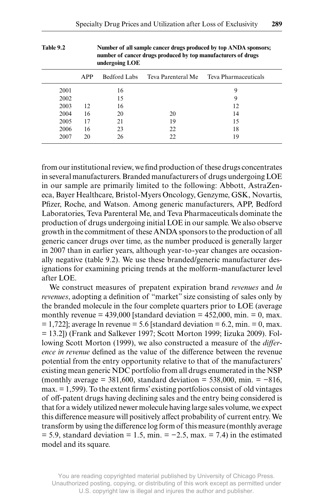|      |     | undergoing LOE | number of cancer drugs produced by top manufacturers of drugs |                                         |
|------|-----|----------------|---------------------------------------------------------------|-----------------------------------------|
|      | APP | Bedford Labs   |                                                               | Teva Parenteral Me Teva Pharmaceuticals |
| 2001 |     | 16             |                                                               | 9                                       |
| 2002 |     | 15             |                                                               | 9                                       |
| 2003 | 12  | 16             |                                                               | 12                                      |
| 2004 | 16  | 20             | 20                                                            | 14                                      |
| 2005 | 17  | 21             | 19                                                            | 15                                      |
| 2006 | 16  | 23             | 22                                                            | 18                                      |
| 2007 | 20  | 26             | 22                                                            | 19                                      |

**Table 9.2 Number of all sample cancer drugs produced by top ANDA sponsors; number of cancer drugs produced by top manufacturers of drugs** 

from our institutional review, we find production of these drugs concentrates in several manufacturers. Branded manufacturers of drugs undergoing LOE in our sample are primarily limited to the following: Abbott, AstraZeneca, Bayer Healthcare, Bristol- Myers Oncology, Genzyme, GSK, Novartis, Pfizer, Roche, and Watson. Among generic manufacturers, APP, Bedford Laboratories, Teva Parenteral Me, and Teva Pharmaceuticals dominate the production of drugs undergoing initial LOE in our sample. We also observe growth in the commitment of these ANDA sponsors to the production of all generic cancer drugs over time, as the number produced is generally larger in 2007 than in earlier years, although year- to- year changes are occasionally negative (table 9.2). We use these branded/generic manufacturer designations for examining pricing trends at the molform- manufacturer level after LOE.

 We construct measures of prepatent expiration brand *revenues* and *ln revenues*, adopting a definition of "market" size consisting of sales only by the branded molecule in the four complete quarters prior to LOE (average monthly revenue =  $439,000$  [standard deviation =  $452,000$ , min. = 0, max.  $= 1,722$ ; average ln revenue  $= 5.6$  [standard deviation  $= 6.2$ , min.  $= 0$ , max. = 13.2]) (Frank and Salkever 1997; Scott Morton 1999; Iizuka 2009). Following Scott Morton (1999), we also constructed a measure of the *difference in revenue* defined as the value of the difference between the revenue potential from the entry opportunity relative to that of the manufacturers' existing mean generic NDC portfolio from all drugs enumerated in the NSP (monthly average = 381,600, standard deviation = 538,000, min. =  $-816$ ,  $max = 1,599$ . To the extent firms' existing portfolios consist of old vintages of off - patent drugs having declining sales and the entry being considered is that for a widely utilized newer molecule having large sales volume, we expect this difference measure will positively affect probability of current entry. We transform by using the difference log form of this measure (monthly average  $= 5.9$ , standard deviation  $= 1.5$ , min.  $= -2.5$ , max.  $= 7.4$ ) in the estimated model and its square.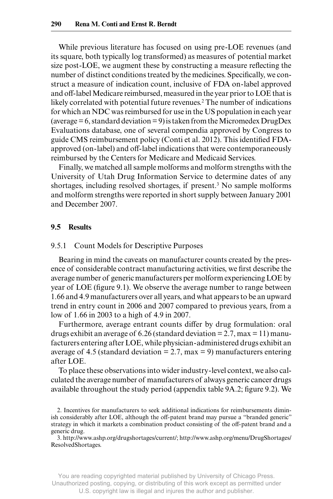While previous literature has focused on using pre-LOE revenues (and its square, both typically log transformed) as measures of potential market size post-LOE, we augment these by constructing a measure reflecting the number of distinct conditions treated by the medicines. Specifically, we construct a measure of indication count, inclusive of FDA on- label approved and off - label Medicare reimbursed, measured in the year prior to LOE that is likely correlated with potential future revenues.<sup>2</sup> The number of indications for which an NDC was reimbursed for use in the US population in each year (average  $= 6$ , standard deviation  $= 9$ ) is taken from the Micromedex DrugDex Evaluations database, one of several compendia approved by Congress to guide CMS reimbursement policy (Conti et al. 2012). This identified FDAapproved (on- label) and off - label indications that were contemporaneously reimbursed by the Centers for Medicare and Medicaid Services.

Finally, we matched all sample molforms and molform strengths with the University of Utah Drug Information Service to determine dates of any shortages, including resolved shortages, if present.<sup>3</sup> No sample molforms and molform strengths were reported in short supply between January 2001 and December 2007.

### **9.5 Results**

#### 9.5.1 Count Models for Descriptive Purposes

Bearing in mind the caveats on manufacturer counts created by the presence of considerable contract manufacturing activities, we first describe the average number of generic manufacturers per molform experiencing LOE by year of LOE (figure 9.1). We observe the average number to range between 1.66 and 4.9 manufacturers over all years, and what appears to be an upward trend in entry count in 2006 and 2007 compared to previous years, from a low of 1.66 in 2003 to a high of 4.9 in 2007.

Furthermore, average entrant counts differ by drug formulation: oral drugs exhibit an average of 6.26 (standard deviation  $= 2.7$ , max  $= 11$ ) manufacturers entering after LOE, while physician- administered drugs exhibit an average of 4.5 (standard deviation  $= 2.7$ , max  $= 9$ ) manufacturers entering after LOE.

To place these observations into wider industry- level context, we also calculated the average number of manufacturers of always generic cancer drugs available throughout the study period (appendix table 9A.2; figure 9.2). We

3. http:// www .ashp .org /drugshortages /current/; http:// www .ashp .org /menu /DrugShortages / ResolvedShortages.

<sup>2.</sup> Incentives for manufacturers to seek additional indications for reimbursements diminish considerably after LOE, although the off-patent brand may pursue a "branded generic" strategy in which it markets a combination product consisting of the off - patent brand and a generic drug.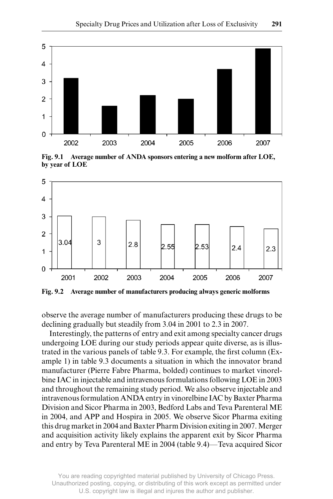

**Fig. 9.1 Average number of ANDA sponsors entering a new molform after LOE, by year of LOE**



**Fig. 9.2 Average number of manufacturers producing always generic molforms**

observe the average number of manufacturers producing these drugs to be declining gradually but steadily from 3.04 in 2001 to 2.3 in 2007.

 Interestingly, the patterns of entry and exit among specialty cancer drugs undergoing LOE during our study periods appear quite diverse, as is illustrated in the various panels of table 9.3. For example, the first column (Example 1) in table 9.3 documents a situation in which the innovator brand manufacturer (Pierre Fabre Pharma, bolded) continues to market vinorelbine IAC in injectable and intravenous formulations following LOE in 2003 and throughout the remaining study period. We also observe injectable and intravenous formulation ANDA entry in vinorelbine IAC by Baxter Pharma Division and Sicor Pharma in 2003, Bedford Labs and Teva Parenteral ME in 2004, and APP and Hospira in 2005. We observe Sicor Pharma exiting this drug market in 2004 and Baxter Pharm Division exiting in 2007. Merger and acquisition activity likely explains the apparent exit by Sicor Pharma and entry by Teva Parenteral ME in 2004 (table 9.4)—Teva acquired Sicor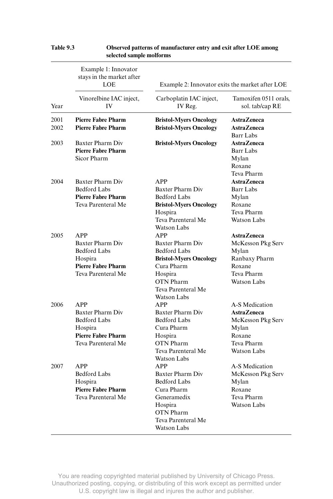|              | Example 1: Innovator<br>stays in the market after<br><b>LOE</b>                                                     | Example 2: Innovator exits the market after LOE                                                                                                                          |                                                                                                                 |
|--------------|---------------------------------------------------------------------------------------------------------------------|--------------------------------------------------------------------------------------------------------------------------------------------------------------------------|-----------------------------------------------------------------------------------------------------------------|
| Year         | Vinorelbine IAC inject,<br>IV                                                                                       | Carboplatin IAC inject,<br>IV Reg.                                                                                                                                       | Tamoxifen 0511 orals,<br>sol. tab/cap RE                                                                        |
| 2001<br>2002 | <b>Pierre Fabre Pharm</b><br><b>Pierre Fabre Pharm</b>                                                              | <b>Bristol-Myers Oncology</b><br><b>Bristol-Myers Oncology</b>                                                                                                           | <b>AstraZeneca</b><br><b>AstraZeneca</b>                                                                        |
| 2003         | <b>Baxter Pharm Div</b><br><b>Pierre Fabre Pharm</b><br>Sicor Pharm                                                 | <b>Bristol-Myers Oncology</b>                                                                                                                                            | Barr Labs<br><b>AstraZeneca</b><br><b>Barr Labs</b><br>Mylan<br>Roxane<br>Teva Pharm                            |
| 2004         | <b>Baxter Pharm Div</b><br><b>Bedford Labs</b><br><b>Pierre Fabre Pharm</b><br>Teva Parenteral Me                   | APP<br>Baxter Pharm Div<br><b>Bedford Labs</b><br><b>Bristol-Myers Oncology</b><br>Hospira<br>Teva Parenteral Me                                                         | <b>AstraZeneca</b><br><b>Barr Labs</b><br>Mylan<br>Roxane<br>Teva Pharm<br><b>Watson Labs</b>                   |
| 2005         | <b>APP</b><br>Baxter Pharm Div<br><b>Bedford Labs</b><br>Hospira<br><b>Pierre Fabre Pharm</b><br>Teva Parenteral Me | Watson Labs<br><b>APP</b><br>Baxter Pharm Div<br><b>Bedford Labs</b><br><b>Bristol-Myers Oncology</b><br>Cura Pharm<br>Hospira<br><b>OTN</b> Pharm<br>Teva Parenteral Me | <b>AstraZeneca</b><br>McKesson Pkg Serv<br>Mylan<br>Ranbaxy Pharm<br>Roxane<br>Teva Pharm<br><b>Watson Labs</b> |
| 2006         | APP<br>Baxter Pharm Div<br><b>Bedford Labs</b><br>Hospira<br><b>Pierre Fabre Pharm</b><br>Teva Parenteral Me        | <b>Watson Labs</b><br><b>APP</b><br>Baxter Pharm Div<br><b>Bedford Labs</b><br>Cura Pharm<br>Hospira<br><b>OTN Pharm</b><br>Teva Parenteral Me<br>Watson Labs            | A-S Medication<br>AstraZeneca<br>McKesson Pkg Serv<br>Mylan<br>Roxane<br>Teva Pharm<br>Watson Labs              |
| 2007         | APP<br><b>Bedford Labs</b><br>Hospira<br><b>Pierre Fabre Pharm</b><br>Teva Parenteral Me                            | <b>APP</b><br><b>Baxter Pharm Div</b><br><b>Bedford Labs</b><br>Cura Pharm<br>Generamedix<br>Hospira<br><b>OTN</b> Pharm<br>Teva Parenteral Me<br>Watson Labs            | A-S Medication<br>McKesson Pkg Serv<br>Mylan<br>Roxane<br>Teva Pharm<br><b>Watson Labs</b>                      |

### **Table 9.3 Observed patterns of manufacturer entry and exit after LOE among selected sample molforms**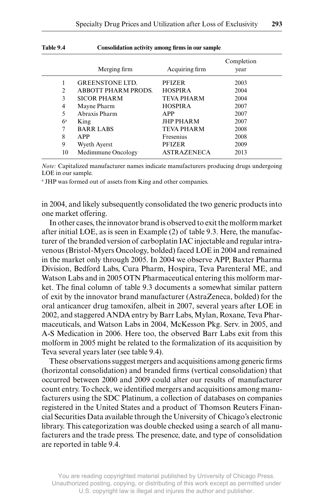| 1491 - 7. 7    | Consolidation activity among mails in our sample. |                    |                    |
|----------------|---------------------------------------------------|--------------------|--------------------|
|                | Merging firm                                      | Acquiring firm     | Completion<br>year |
| 1              | <b>GREENSTONE LTD.</b>                            | <b>PFIZER</b>      | 2003               |
| $\overline{c}$ | <b>ABBOTT PHARM PRODS.</b>                        | <b>HOSPIRA</b>     | 2004               |
| 3              | <b>SICOR PHARM</b>                                | <b>TEVA PHARM</b>  | 2004               |
| 4              | Mayne Pharm                                       | <b>HOSPIRA</b>     | 2007               |
| 5              | Abraxis Pharm                                     | APP                | 2007               |
| $6^{\rm a}$    | King                                              | <b>JHP PHARM</b>   | 2007               |
| 7              | <b>BARR LABS</b>                                  | <b>TEVA PHARM</b>  | 2008               |
| 8              | APP                                               | Fresenius          | 2008               |
| 9              | <b>Wyeth Ayerst</b>                               | <b>PFIZER</b>      | 2009               |
| 10             | Medimmune Oncology                                | <b>ASTRAZENECA</b> | 2013               |

#### **Table 9.4** Consolidation activity among firms in our sample

*Note:* Capitalized manufacturer names indicate manufacturers producing drugs undergoing LOE in our sample.

a JHP was formed out of assets from King and other companies.

in 2004, and likely subsequently consolidated the two generic products into one market offering.

 In other cases, the innovator brand is observed to exit the molform market after initial LOE, as is seen in Example (2) of table 9.3. Here, the manufacturer of the branded version of carboplatin IAC injectable and regular intravenous (Bristol- Myers Oncology, bolded) faced LOE in 2004 and remained in the market only through 2005. In 2004 we observe APP, Baxter Pharma Division, Bedford Labs, Cura Pharm, Hospira, Teva Parenteral ME, and Watson Labs and in 2005 OTN Pharmaceutical entering this molform market. The final column of table 9.3 documents a somewhat similar pattern of exit by the innovator brand manufacturer (AstraZeneca, bolded) for the oral anticancer drug tamoxifen, albeit in 2007, several years after LOE in 2002, and staggered ANDA entry by Barr Labs, Mylan, Roxane, Teva Pharmaceuticals, and Watson Labs in 2004, McKesson Pkg. Serv. in 2005, and A-S Medication in 2006. Here too, the observed Barr Labs exit from this molform in 2005 might be related to the formalization of its acquisition by Teva several years later (see table 9.4).

These observations suggest mergers and acquisitions among generic firms (horizontal consolidation) and branded firms (vertical consolidation) that occurred between 2000 and 2009 could alter our results of manufacturer count entry. To check, we identified mergers and acquisitions among manufacturers using the SDC Platinum, a collection of databases on companies registered in the United States and a product of Thomson Reuters Financial Securities Data available through the University of Chicago's electronic library. This categorization was double checked using a search of all manufacturers and the trade press. The presence, date, and type of consolidation are reported in table 9.4.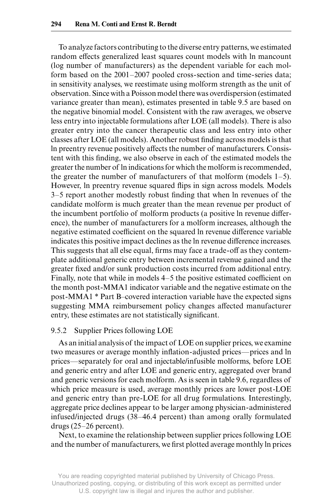To analyze factors contributing to the diverse entry patterns, we estimated random effects generalized least squares count models with ln mancount (log number of manufacturers) as the dependent variable for each molform based on the 2001–2007 pooled cross- section and time- series data; in sensitivity analyses, we reestimate using molform strength as the unit of observation. Since with a Poisson model there was overdispersion (estimated variance greater than mean), estimates presented in table 9.5 are based on the negative binomial model. Consistent with the raw averages, we observe less entry into injectable formulations after LOE (all models). There is also greater entry into the cancer therapeutic class and less entry into other classes after LOE (all models). Another robust finding across models is that In preentry revenue positively affects the number of manufacturers. Consistent with this finding, we also observe in each of the estimated models the greater the number of ln indications for which the molform is recommended, the greater the number of manufacturers of that molform (models 1–5). However, In preentry revenue squared flips in sign across models. Models 3–5 report another modestly robust finding that when ln revenues of the candidate molform is much greater than the mean revenue per product of the incumbent portfolio of molform products (a positive ln revenue difference), the number of manufacturers for a molform increases, although the negative estimated coefficient on the squared ln revenue difference variable indicates this positive impact declines as the ln revenue difference increases. This suggests that all else equal, firms may face a trade-off as they contemplate additional generic entry between incremental revenue gained and the greater fixed and/or sunk production costs incurred from additional entry. Finally, note that while in models 4–5 the positive estimated coefficient on the month post- MMA1 indicator variable and the negative estimate on the post- MMA1 \* Part B–covered interaction variable have the expected signs suggesting MMA reimbursement policy changes affected manufacturer entry, these estimates are not statistically significant.

#### 9.5.2 Supplier Prices following LOE

As an initial analysis of the impact of LOE on supplier prices, we examine two measures or average monthly inflation-adjusted prices—prices and ln prices—separately for oral and injectable/infusible molforms, before LOE and generic entry and after LOE and generic entry, aggregated over brand and generic versions for each molform. As is seen in table 9.6, regardless of which price measure is used, average monthly prices are lower post-LOE and generic entry than pre- LOE for all drug formulations. Interestingly, aggregate price declines appear to be larger among physician- administered infused/injected drugs (38–46.4 percent) than among orally formulated drugs  $(25-26$  percent).

 Next, to examine the relationship between supplier prices following LOE and the number of manufacturers, we first plotted average monthly ln prices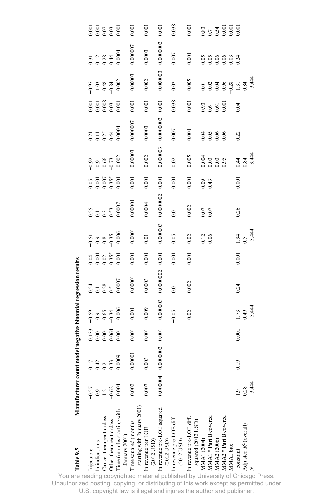| Table 9.5                                           |                            | Manufacturer count model negative binomial regression results |                               |                                                                    |                                       |                              |                                    |                           |                    |                                                              |                                                            |                                                                |                                                                                |                                                   |                                                   |
|-----------------------------------------------------|----------------------------|---------------------------------------------------------------|-------------------------------|--------------------------------------------------------------------|---------------------------------------|------------------------------|------------------------------------|---------------------------|--------------------|--------------------------------------------------------------|------------------------------------------------------------|----------------------------------------------------------------|--------------------------------------------------------------------------------|---------------------------------------------------|---------------------------------------------------|
| Injectable                                          | $-0.27$                    |                                                               | 0.133                         |                                                                    |                                       |                              | $-0.51$                            |                           | 0.05               | $-0.92$                                                      |                                                            | 0.001                                                          | $-0.95$                                                                        |                                                   |                                                   |
| In indications                                      |                            | $0.17$<br>$0.42$<br>$0.33$                                    | $0.001$<br>$0.001$<br>$0.064$ | $39$<br>$9$ $3$ $3$<br>$9$ $3$ $3$<br>$9$ $3$<br>$9$<br>$9$<br>$9$ | $0.14$<br>$0.18$<br>$0.5$<br>$0.0007$ | $0.001$<br>$0.02$<br>$0.355$ | $0.9$<br>$0.8$<br>$-0.35$<br>0.006 | $0.25$<br>$0.3$<br>$0.53$ | $0.001$<br>$0.007$ | $\begin{array}{c} 0.9 \\ 0.66 \\ -0.73 \\ 0.002 \end{array}$ | $0.21$<br>$0.11$<br>$0.25$<br>$0.44$<br>$0.44$<br>$0.0004$ | $\begin{array}{c} 0.001 \\ 0.008 \\ 0.03 \\ 0.001 \end{array}$ | $\begin{array}{c} 1.03 \\ 0.48 \\ -0.84 \\ 0.002 \end{array}$                  | $0.11$<br>$0.128$<br>$0.28$<br>$0.44$<br>$0.0004$ | 0.001<br>0.007<br>0.00<br>0.00                    |
| Cancer therapeutic class                            | $0.9$<br>$-1.2$<br>$-0.62$ |                                                               |                               |                                                                    |                                       |                              |                                    |                           |                    |                                                              |                                                            |                                                                |                                                                                |                                                   |                                                   |
| Other therapeutic class                             |                            |                                                               |                               |                                                                    |                                       |                              |                                    |                           | 0.355              |                                                              |                                                            |                                                                |                                                                                |                                                   |                                                   |
| Time (months starting with<br>January 2001)         | 0.004                      | 0000                                                          | 0.001                         |                                                                    |                                       | 0.001                        |                                    | 0.0007                    | 0.001              |                                                              |                                                            |                                                                |                                                                                |                                                   |                                                   |
| starting with January 2001)<br>Time squared (months | 0.002                      | .00001                                                        | 0.001                         | 0.001                                                              | 0.00001                               | 0.001                        | 0.0001                             | 0.00001                   | 0.001              | $-0.00003$                                                   | 0.000007                                                   | 0.001                                                          | $-0.00003$                                                                     | 0.000007                                          | 0.001                                             |
| In revenue per LOE<br>$(2012$ USD)                  | 0.007                      | 003                                                           | 0.001                         | 0.009                                                              | 0.0003                                | 0.001                        | 0.01                               | 0.0004                    | 0.001              | 0.002                                                        | 0.0003                                                     | 0.001                                                          | 0.002                                                                          | 0.0003                                            | 0.001                                             |
| In revenue pre-LOE squared<br>$(2012$ USD)          | 0.000004                   | 0.0000002                                                     | 0.001                         | 0.000003                                                           | 0.0000002                             | 0.001                        | 0.000003                           | 0.0000002                 | 0.001              | $-0.000003$                                                  | 0.0000002                                                  | 0.001                                                          | $-0.000003$                                                                    | 0.0000002                                         | 0.001                                             |
| In revenue pre-LOE diff<br>(2012 USD)               |                            |                                                               |                               | $-0.05$                                                            | 0.01                                  | 0.001                        | 0.05                               | 0.01                      | 0.001              | 0.02                                                         | 0.007                                                      | 0.038                                                          | 0.02                                                                           | 0.007                                             | 0.038                                             |
| In revenue pre-LOE diff.<br>squared (2012 USD)      |                            |                                                               |                               | $-0.02$                                                            | 0.002                                 | 0.001                        | $-0.02$                            | 0.002                     | 0.001              | $-0.005$                                                     | 0.001                                                      | 0.001                                                          | $-0.005$                                                                       | 0.001                                             | 0.001                                             |
| MMA1 (2004)                                         |                            |                                                               |                               |                                                                    |                                       |                              |                                    |                           |                    |                                                              |                                                            |                                                                |                                                                                |                                                   |                                                   |
| MMA1 * Part B covered                               |                            |                                                               |                               |                                                                    |                                       |                              | $\frac{0.12}{0.06}$                | 0.07<br>0.07              | $0.09$<br>0.43     | $0.004$<br>$-0.03$<br>0.03                                   | $0.05$<br>0.06                                             | $0.93$<br>$0.6$<br>$0.61$                                      |                                                                                |                                                   |                                                   |
| MMA2 (2006)                                         |                            |                                                               |                               |                                                                    |                                       |                              |                                    |                           |                    |                                                              |                                                            |                                                                |                                                                                |                                                   |                                                   |
| MMA2 * Part B covered<br>MMA1 bite                  |                            |                                                               |                               |                                                                    |                                       |                              |                                    |                           |                    | 0.95                                                         | 0.06                                                       | 0.001                                                          | $\begin{array}{c} 5 & 8 & 8 & 7 \\ 6 & 6 & 8 & 8 \\ 9 & 6 & 6 & 9 \end{array}$ |                                                   | $0.83$<br>$0.7$<br>$0.6001$<br>$0.001$<br>$0.001$ |
| _constant<br>Adjusted $R^2$ (overall)               |                            | 0.19                                                          | 0.001                         | 1.73                                                               | 0.24                                  | 0.001                        | $1.94$<br>0.5                      | 0.26                      | 0.001              |                                                              | 0.22                                                       | 0.04                                                           |                                                                                |                                                   |                                                   |
|                                                     | 3,444<br>0.28              |                                                               |                               | 3,44<br>64.0                                                       |                                       |                              | 3,444                              |                           |                    | $0.84$<br>$0.84$<br>$3.444$                                  |                                                            |                                                                | 3,444<br>0.84                                                                  |                                                   |                                                   |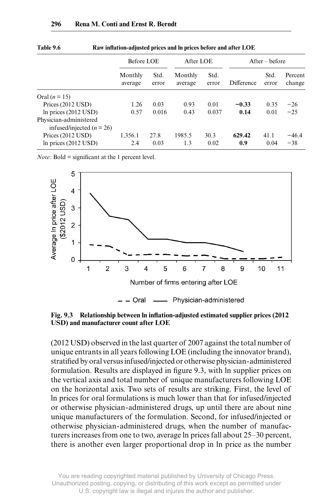|                                                         | Before LOE         |               | After LOE          |               |            | $After - before$ |                   |
|---------------------------------------------------------|--------------------|---------------|--------------------|---------------|------------|------------------|-------------------|
|                                                         | Monthly<br>average | Std.<br>error | Monthly<br>average | Std.<br>error | Difference | Std.<br>error    | Percent<br>change |
| Oral $(n=15)$                                           |                    |               |                    |               |            |                  |                   |
| Prices (2012 USD)                                       | 1.26               | 0.03          | 0.93               | 0.01          | $-0.33$    | 0.35             | $-26$             |
| In prices $(2012$ USD)                                  | 0.57               | 0.016         | 0.43               | 0.037         | 0.14       | 0.01             | $-25$             |
| Physician-administered<br>infused/injected ( $n = 26$ ) |                    |               |                    |               |            |                  |                   |
| Prices $(2012$ USD)                                     | 1,356.1            | 27.8          | 1985.5             | 30.3          | 629.42     | 41.1             | $-46.4$           |
| In prices $(2012$ USD)                                  | 2.4                | 0.03          | 1.3                | 0.02          | 0.9        | 0.04             | $-38$             |

Table 9.6 Raw inflation-adjusted prices and ln prices before and after LOE

*Note:* Bold  $=$  significant at the 1 percent level.



Fig. 9.3 Relationship between ln inflation-adjusted estimated supplier prices (2012 **USD) and manufacturer count after LOE**

(2012 USD) observed in the last quarter of 2007 against the total number of unique entrants in all years following LOE (including the innovator brand), stratified by oral versus infused/injected or otherwise physician-administered formulation. Results are displayed in figure 9.3, with ln supplier prices on the vertical axis and total number of unique manufacturers following LOE on the horizontal axis. Two sets of results are striking. First, the level of ln prices for oral formulations is much lower than that for infused/injected or otherwise physician- administered drugs, up until there are about nine unique manufacturers of the formulation. Second, for infused/injected or otherwise physician- administered drugs, when the number of manufacturers increases from one to two, average ln prices fall about 25–30 percent, there is another even larger proportional drop in ln price as the number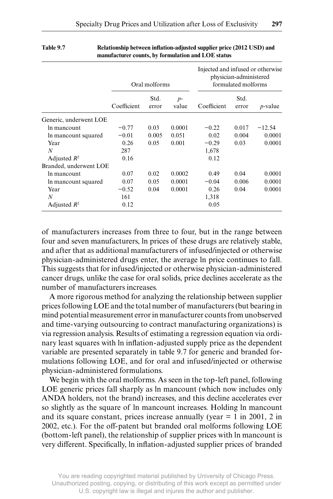|                        |             | Oral molforms |               | Injected and infused or otherwise | physician-administered<br>formulated molforms |                 |
|------------------------|-------------|---------------|---------------|-----------------------------------|-----------------------------------------------|-----------------|
|                        | Coefficient | Std.<br>error | $p-$<br>value | Coefficient                       | Std.<br>error                                 | <i>p</i> -value |
| Generic, underwent LOE |             |               |               |                                   |                                               |                 |
| In mancount            | $-0.77$     | 0.03          | 0.0001        | $-0.22$                           | 0.017                                         | $-12.54$        |
| In mancount squared    | $-0.01$     | 0.005         | 0.051         | 0.02                              | 0.004                                         | 0.0001          |
| Year                   | 0.26        | 0.05          | 0.001         | $-0.29$                           | 0.03                                          | 0.0001          |
| N                      | 287         |               |               | 1,678                             |                                               |                 |
| Adjusted $R^2$         | 0.16        |               |               | 0.12                              |                                               |                 |
| Branded, underwent LOE |             |               |               |                                   |                                               |                 |
| In mancount            | 0.07        | 0.02          | 0.0002        | 0.49                              | 0.04                                          | 0.0001          |
| In mancount squared    | 0.07        | 0.05          | 0.0001        | $-0.04$                           | 0.006                                         | 0.0001          |
| Year                   | $-0.52$     | 0.04          | 0.0001        | 0.26                              | 0.04                                          | 0.0001          |
| N                      | 161         |               |               | 1,318                             |                                               |                 |
| Adjusted $R^2$         | 0.12        |               |               | 0.05                              |                                               |                 |

#### Table 9.7 **Relationship between inflation-adjusted supplier price (2012 USD) and manufacturer counts, by formulation and LOE status**

of manufacturers increases from three to four, but in the range between four and seven manufacturers, ln prices of these drugs are relatively stable, and after that as additional manufacturers of infused/injected or otherwise physician- administered drugs enter, the average ln price continues to fall. This suggests that for infused/injected or otherwise physician- administered cancer drugs, unlike the case for oral solids, price declines accelerate as the number of manufacturers increases.

 A more rigorous method for analyzing the relationship between supplier prices following LOE and the total number of manufacturers (but bearing in mind potential measurement error in manufacturer counts from unobserved and time- varying outsourcing to contract manufacturing organizations) is via regression analysis. Results of estimating a regression equation via ordinary least squares with ln inflation-adjusted supply price as the dependent variable are presented separately in table 9.7 for generic and branded formulations following LOE, and for oral and infused/injected or otherwise physician- administered formulations.

We begin with the oral molforms. As seen in the top-left panel, following LOE generic prices fall sharply as ln mancount (which now includes only ANDA holders, not the brand) increases, and this decline accelerates ever so slightly as the square of ln mancount increases. Holding ln mancount and its square constant, prices increase annually (year  $= 1$  in 2001, 2 in 2002, etc.). For the off-patent but branded oral molforms following LOE (bottom- left panel), the relationship of supplier prices with ln mancount is very different. Specifically, ln inflation-adjusted supplier prices of branded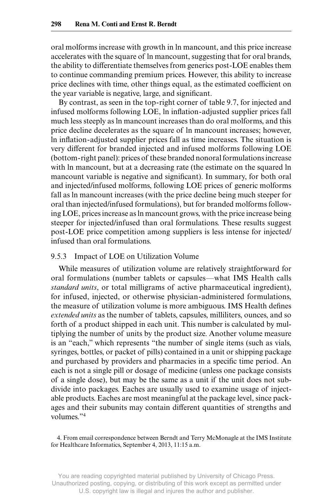oral molforms increase with growth in ln mancount, and this price increase accelerates with the square of ln mancount, suggesting that for oral brands, the ability to differentiate themselves from generics post-LOE enables them to continue commanding premium prices. However, this ability to increase price declines with time, other things equal, as the estimated coefficient on the year variable is negative, large, and significant.

By contrast, as seen in the top- right corner of table 9.7, for injected and infused molforms following LOE, ln inflation-adjusted supplier prices fall much less steeply as ln mancount increases than do oral molforms, and this price decline decelerates as the square of ln mancount increases; however, In inflation-adjusted supplier prices fall as time increases. The situation is very different for branded injected and infused molforms following LOE (bottom- right panel): prices of these branded nonoral formulations increase with ln mancount, but at a decreasing rate (the estimate on the squared ln mancount variable is negative and significant). In summary, for both oral and injected/infused molforms, following LOE prices of generic molforms fall as ln mancount increases (with the price decline being much steeper for oral than injected/infused formulations), but for branded molforms following LOE, prices increase as ln mancount grows, with the price increase being steeper for injected/infused than oral formulations. These results suggest post- LOE price competition among suppliers is less intense for injected/ infused than oral formulations.

#### 9.5.3 Impact of LOE on Utilization Volume

While measures of utilization volume are relatively straightforward for oral formulations (number tablets or capsules—what IMS Health calls *standard units*, or total milligrams of active pharmaceutical ingredient), for infused, injected, or otherwise physician- administered formulations, the measure of utilization volume is more ambiguous. IMS Health defines *extended units* as the number of tablets, capsules, milliliters, ounces, and so forth of a product shipped in each unit. This number is calculated by multiplying the number of units by the product size. Another volume measure is an "each," which represents "the number of single items (such as vials, syringes, bottles, or packet of pills) contained in a unit or shipping package and purchased by providers and pharmacies in a specific time period. An each is not a single pill or dosage of medicine (unless one package consists of a single dose), but may be the same as a unit if the unit does not subdivide into packages. Eaches are usually used to examine usage of injectable products. Eaches are most meaningful at the package level, since packages and their subunits may contain different quantities of strengths and volumes."4

<sup>4.</sup> From email correspondence between Berndt and Terry McMonagle at the IMS Institute for Healthcare Informatics, September 4, 2013, 11:15 a.m.

You are reading copyrighted material published by University of Chicago Press. Unauthorized posting, copying, or distributing of this work except as permitted under U.S. copyright law is illegal and injures the author and publisher.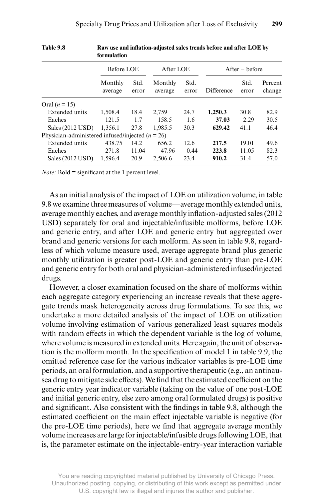|                                                    | formulation        |               |                    |               |            |                  |                   |
|----------------------------------------------------|--------------------|---------------|--------------------|---------------|------------|------------------|-------------------|
|                                                    | Before LOE         |               | After LOE          |               |            | $After - before$ |                   |
|                                                    | Monthly<br>average | Std.<br>error | Monthly<br>average | Std.<br>error | Difference | Std.<br>error    | Percent<br>change |
| Oral $(n = 15)$                                    |                    |               |                    |               |            |                  |                   |
| Extended units                                     | 1.508.4            | 18.4          | 2.759              | 24.7          | 1.250.3    | 30.8             | 82.9              |
| Eaches                                             | 121.5              | 1.7           | 158.5              | 1.6           | 37.03      | 2.29             | 30.5              |
| Sales $(2012$ USD)                                 | 1.356.1            | 27.8          | 1.985.5            | 30.3          | 629.42     | 41.1             | 46.4              |
| Physician-administered infused/injected $(n = 26)$ |                    |               |                    |               |            |                  |                   |
| Extended units                                     | 438.75             | 14.2          | 656.2              | 12.6          | 217.5      | 19.01            | 49.6              |
| Eaches                                             | 271.8              | 11.04         | 47.96              | 0.44          | 223.8      | 11.05            | 82.3              |
| Sales $(2012$ USD)                                 | 1.596.4            | 20.9          | 2.506.6            | 23.4          | 910.2      | 31.4             | 57.0              |

| Table 9.8 | Raw use and inflation-adjusted sales trends before and after LOE by |
|-----------|---------------------------------------------------------------------|
|           | formulation                                                         |

*Note:* Bold  $=$  significant at the 1 percent level.

As an initial analysis of the impact of LOE on utilization volume, in table 9.8 we examine three measures of volume—average monthly extended units, average monthly eaches, and average monthly inflation-adjusted sales (2012) USD) separately for oral and injectable/infusible molforms, before LOE and generic entry, and after LOE and generic entry but aggregated over brand and generic versions for each molform. As seen in table 9.8, regardless of which volume measure used, average aggregate brand plus generic monthly utilization is greater post-LOE and generic entry than pre-LOE and generic entry for both oral and physician- administered infused/injected drugs.

 However, a closer examination focused on the share of molforms within each aggregate category experiencing an increase reveals that these aggregate trends mask heterogeneity across drug formulations. To see this, we undertake a more detailed analysis of the impact of LOE on utilization volume involving estimation of various generalized least squares models with random effects in which the dependent variable is the log of volume, where volume is measured in extended units. Here again, the unit of observation is the molform month. In the specification of model 1 in table 9.9, the omitted reference case for the various indicator variables is pre- LOE time periods, an oral formulation, and a supportive therapeutic (e.g., an antinausea drug to mitigate side effects). We find that the estimated coefficient on the generic entry year indicator variable (taking on the value of one post- LOE and initial generic entry, else zero among oral formulated drugs) is positive and significant. Also consistent with the findings in table 9.8, although the estimated coefficient on the main effect injectable variable is negative (for the pre-LOE time periods), here we find that aggregate average monthly volume increases are large for injectable/infusible drugs following LOE, that is, the parameter estimate on the injectable- entry- year interaction variable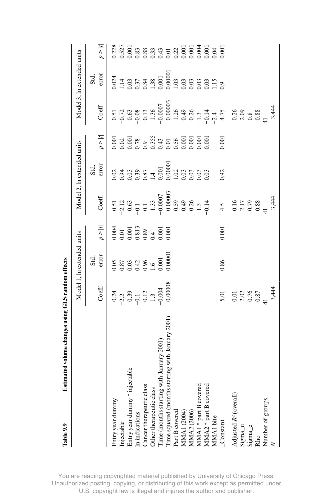| Table 9.9                                                                                             | Istimated volume changes using GLS random effects                                                                                             |                                                                                   |                                                                                                                                                                                                                                                                        |                                                                                                                        |                                                                                                                                                                                                                 |                                                                                                                                                                                                                                                                                                               |                                                                                                                                                                                                                                                                    |        |                                                                                                                                                                                                                                                                                                     |                                                         |
|-------------------------------------------------------------------------------------------------------|-----------------------------------------------------------------------------------------------------------------------------------------------|-----------------------------------------------------------------------------------|------------------------------------------------------------------------------------------------------------------------------------------------------------------------------------------------------------------------------------------------------------------------|------------------------------------------------------------------------------------------------------------------------|-----------------------------------------------------------------------------------------------------------------------------------------------------------------------------------------------------------------|---------------------------------------------------------------------------------------------------------------------------------------------------------------------------------------------------------------------------------------------------------------------------------------------------------------|--------------------------------------------------------------------------------------------------------------------------------------------------------------------------------------------------------------------------------------------------------------------|--------|-----------------------------------------------------------------------------------------------------------------------------------------------------------------------------------------------------------------------------------------------------------------------------------------------------|---------------------------------------------------------|
|                                                                                                       |                                                                                                                                               |                                                                                   | Model 1, in extended units                                                                                                                                                                                                                                             |                                                                                                                        |                                                                                                                                                                                                                 | Model 2, ln extended units                                                                                                                                                                                                                                                                                    |                                                                                                                                                                                                                                                                    |        | Model 3, ln extended units                                                                                                                                                                                                                                                                          |                                                         |
|                                                                                                       |                                                                                                                                               |                                                                                   |                                                                                                                                                                                                                                                                        |                                                                                                                        |                                                                                                                                                                                                                 |                                                                                                                                                                                                                                                                                                               |                                                                                                                                                                                                                                                                    |        |                                                                                                                                                                                                                                                                                                     |                                                         |
|                                                                                                       |                                                                                                                                               | Coeff.                                                                            | Std.<br>error                                                                                                                                                                                                                                                          | $p >  t $                                                                                                              | Coeff.                                                                                                                                                                                                          | Std.<br>error                                                                                                                                                                                                                                                                                                 | $p >  t $                                                                                                                                                                                                                                                          | Coeff. | Std.<br>error                                                                                                                                                                                                                                                                                       | $ i < d$                                                |
|                                                                                                       |                                                                                                                                               | $-2.2$<br>$-2.2$<br>$-0.3$<br>$-0.1$<br>$-0.12$<br>$-1.3$<br>$-0.004$<br>$-0.003$ | $\begin{array}{l} 0.05\\0.87\\0.03\\0.042\\0.06\\0.000\\0.0000\\0.0000\\0.0000\\0.0000\\0.0000\\0.0000\\0.0000\\0.0000\\0.0000\\0.0000\\0.0000\\0.0000\\0.0000\\0.0000\\0.0000\\0.0000\\0.0000\\0.0000\\0.0000\\0.0000\\0.0000\\0.0000\\0.0000\\0.0000\\0.0000\\0.000$ | $\begin{array}{l} 0.001 \\ 0.01 \\ 0.001 \\ 0.813 \\ 0.89 \\ 0.001 \\ 0.001 \\ 0.001 \\ 0.001 \\ 0.001 \\ \end{array}$ |                                                                                                                                                                                                                 | $\begin{array}{l} 0.01 \\ 0.04 \\ 0.05 \\ 0.06 \\ 0.07 \\ 0.07 \\ 0.07 \\ 0.07 \\ 0.07 \\ 0.07 \\ 0.07 \\ 0.07 \\ 0.07 \\ 0.07 \\ 0.07 \\ 0.07 \\ 0.07 \\ 0.07 \\ 0.07 \\ 0.07 \\ 0.07 \\ 0.07 \\ 0.07 \\ 0.07 \\ 0.07 \\ 0.07 \\ 0.07 \\ 0.07 \\ 0.07 \\ 0.07 \\ 0.07 \\ 0.07 \\ 0.07 \\ 0.07 \\ 0.07 \\ 0.$ | $\begin{array}{l} 0.001\\ 0.002\\ 0.003\\ 0.008\\ 0.0000\\ 0.0000\\ 0.0000\\ 0.0000\\ 0.0000\\ 0.0000\\ 0.0000\\ 0.0000\\ 0.0000\\ 0.0000\\ 0.0000\\ 0.0000\\ 0.0000\\ 0.0000\\ 0.0000\\ 0.0000\\ 0.0000\\ 0.0000\\ 0.0000\\ 0.0000\\ 0.0000\\ 0.0000\\ 0.0000\\ $ |        | $\begin{array}{l} 0.014 \\ 0.014 \\ 0.014 \\ 0.000 \\ 0.000 \\ 0.000 \\ 0.000 \\ 0.000 \\ 0.000 \\ 0.000 \\ 0.000 \\ 0.000 \\ 0.000 \\ 0.000 \\ 0.000 \\ 0.000 \\ 0.000 \\ 0.000 \\ 0.000 \\ 0.000 \\ 0.000 \\ 0.000 \\ 0.000 \\ 0.000 \\ 0.000 \\ 0.000 \\ 0.000 \\ 0.000 \\ 0.000 \\ 0.000 \\ 0.$ |                                                         |
| Entry year dummy<br>Injectable                                                                        |                                                                                                                                               |                                                                                   |                                                                                                                                                                                                                                                                        |                                                                                                                        |                                                                                                                                                                                                                 |                                                                                                                                                                                                                                                                                                               |                                                                                                                                                                                                                                                                    |        |                                                                                                                                                                                                                                                                                                     |                                                         |
| Entry year dummy * injectable<br>In indications                                                       |                                                                                                                                               |                                                                                   |                                                                                                                                                                                                                                                                        |                                                                                                                        |                                                                                                                                                                                                                 |                                                                                                                                                                                                                                                                                                               |                                                                                                                                                                                                                                                                    |        |                                                                                                                                                                                                                                                                                                     |                                                         |
|                                                                                                       |                                                                                                                                               |                                                                                   |                                                                                                                                                                                                                                                                        |                                                                                                                        |                                                                                                                                                                                                                 |                                                                                                                                                                                                                                                                                                               |                                                                                                                                                                                                                                                                    |        |                                                                                                                                                                                                                                                                                                     |                                                         |
| Cancer therapeutic class                                                                              |                                                                                                                                               |                                                                                   |                                                                                                                                                                                                                                                                        |                                                                                                                        |                                                                                                                                                                                                                 |                                                                                                                                                                                                                                                                                                               |                                                                                                                                                                                                                                                                    |        |                                                                                                                                                                                                                                                                                                     |                                                         |
|                                                                                                       |                                                                                                                                               |                                                                                   |                                                                                                                                                                                                                                                                        |                                                                                                                        |                                                                                                                                                                                                                 |                                                                                                                                                                                                                                                                                                               |                                                                                                                                                                                                                                                                    |        |                                                                                                                                                                                                                                                                                                     |                                                         |
|                                                                                                       |                                                                                                                                               |                                                                                   |                                                                                                                                                                                                                                                                        |                                                                                                                        |                                                                                                                                                                                                                 |                                                                                                                                                                                                                                                                                                               |                                                                                                                                                                                                                                                                    |        |                                                                                                                                                                                                                                                                                                     |                                                         |
|                                                                                                       | starting with January 2001<br>Other therapeutic class<br>Time (months starting with January 2001)<br>Time squared (months starting with Janua |                                                                                   |                                                                                                                                                                                                                                                                        |                                                                                                                        |                                                                                                                                                                                                                 |                                                                                                                                                                                                                                                                                                               |                                                                                                                                                                                                                                                                    |        |                                                                                                                                                                                                                                                                                                     |                                                         |
|                                                                                                       |                                                                                                                                               |                                                                                   |                                                                                                                                                                                                                                                                        |                                                                                                                        |                                                                                                                                                                                                                 |                                                                                                                                                                                                                                                                                                               |                                                                                                                                                                                                                                                                    |        |                                                                                                                                                                                                                                                                                                     |                                                         |
|                                                                                                       |                                                                                                                                               |                                                                                   |                                                                                                                                                                                                                                                                        |                                                                                                                        |                                                                                                                                                                                                                 |                                                                                                                                                                                                                                                                                                               |                                                                                                                                                                                                                                                                    |        |                                                                                                                                                                                                                                                                                                     |                                                         |
|                                                                                                       |                                                                                                                                               |                                                                                   |                                                                                                                                                                                                                                                                        |                                                                                                                        |                                                                                                                                                                                                                 |                                                                                                                                                                                                                                                                                                               |                                                                                                                                                                                                                                                                    |        |                                                                                                                                                                                                                                                                                                     |                                                         |
|                                                                                                       |                                                                                                                                               |                                                                                   |                                                                                                                                                                                                                                                                        |                                                                                                                        |                                                                                                                                                                                                                 |                                                                                                                                                                                                                                                                                                               |                                                                                                                                                                                                                                                                    |        |                                                                                                                                                                                                                                                                                                     |                                                         |
| Part B covered<br>MMA1 (2004)<br>MMA2 (2006)<br>MMA1 * part B covered<br>MMA2 * part B covered        |                                                                                                                                               |                                                                                   |                                                                                                                                                                                                                                                                        |                                                                                                                        |                                                                                                                                                                                                                 |                                                                                                                                                                                                                                                                                                               |                                                                                                                                                                                                                                                                    |        |                                                                                                                                                                                                                                                                                                     | 227<br>2277<br>22772<br>22772 22772 23772<br>22772 2378 |
|                                                                                                       |                                                                                                                                               |                                                                                   |                                                                                                                                                                                                                                                                        |                                                                                                                        |                                                                                                                                                                                                                 |                                                                                                                                                                                                                                                                                                               |                                                                                                                                                                                                                                                                    |        |                                                                                                                                                                                                                                                                                                     |                                                         |
| MMA1 bite<br>Constant                                                                                 |                                                                                                                                               | 5.01<br>0.01<br>0.02<br>0.87<br>1<br>0.87<br>3,444                                | 0.86                                                                                                                                                                                                                                                                   | 0.001                                                                                                                  | $0.5123$<br>$0.63$<br>$0.63$<br>$0.63$<br>$0.60000$<br>$0.60000$<br>$0.60000$<br>$0.60000$<br>$0.60000$<br>$0.60000$<br>$0.60000$<br>$0.60000$<br>$0.60000$<br>$0.60000$<br>$0.60000$<br>$0.60000$<br>$0.60000$ |                                                                                                                                                                                                                                                                                                               | 0.001                                                                                                                                                                                                                                                              |        |                                                                                                                                                                                                                                                                                                     |                                                         |
| Adjusted $R^2$ (overall) Sigma_u $\begin{array}{l} \rm{Sigma} \\ \rm{Sigma} \\ \rm{Rino} \end{array}$ |                                                                                                                                               |                                                                                   |                                                                                                                                                                                                                                                                        |                                                                                                                        |                                                                                                                                                                                                                 |                                                                                                                                                                                                                                                                                                               |                                                                                                                                                                                                                                                                    |        |                                                                                                                                                                                                                                                                                                     |                                                         |
|                                                                                                       |                                                                                                                                               |                                                                                   |                                                                                                                                                                                                                                                                        |                                                                                                                        |                                                                                                                                                                                                                 |                                                                                                                                                                                                                                                                                                               |                                                                                                                                                                                                                                                                    |        |                                                                                                                                                                                                                                                                                                     |                                                         |
|                                                                                                       |                                                                                                                                               |                                                                                   |                                                                                                                                                                                                                                                                        |                                                                                                                        |                                                                                                                                                                                                                 |                                                                                                                                                                                                                                                                                                               |                                                                                                                                                                                                                                                                    |        |                                                                                                                                                                                                                                                                                                     |                                                         |
|                                                                                                       |                                                                                                                                               |                                                                                   |                                                                                                                                                                                                                                                                        |                                                                                                                        |                                                                                                                                                                                                                 |                                                                                                                                                                                                                                                                                                               |                                                                                                                                                                                                                                                                    |        |                                                                                                                                                                                                                                                                                                     |                                                         |
| Number of groups                                                                                      |                                                                                                                                               |                                                                                   |                                                                                                                                                                                                                                                                        |                                                                                                                        |                                                                                                                                                                                                                 |                                                                                                                                                                                                                                                                                                               |                                                                                                                                                                                                                                                                    |        |                                                                                                                                                                                                                                                                                                     |                                                         |
|                                                                                                       |                                                                                                                                               |                                                                                   |                                                                                                                                                                                                                                                                        |                                                                                                                        |                                                                                                                                                                                                                 |                                                                                                                                                                                                                                                                                                               |                                                                                                                                                                                                                                                                    |        |                                                                                                                                                                                                                                                                                                     |                                                         |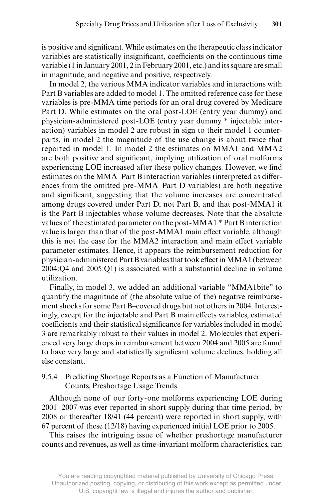is positive and significant. While estimates on the therapeutic class indicator variables are statistically insignificant, coefficients on the continuous time variable (1 in January 2001, 2 in February 2001, etc.) and its square are small in magnitude, and negative and positive, respectively.

 In model 2, the various MMA indicator variables and interactions with Part B variables are added to model 1. The omitted reference case for these variables is pre- MMA time periods for an oral drug covered by Medicare Part D. While estimates on the oral post-LOE (entry year dummy) and physician-administered post-LOE (entry year dummy \* injectable interaction) variables in model 2 are robust in sign to their model 1 counterparts, in model 2 the magnitude of the use change is about twice that reported in model 1. In model 2 the estimates on MMA1 and MMA2 are both positive and significant, implying utilization of oral molforms experiencing LOE increased after these policy changes. However, we find estimates on the MMA–Part B interaction variables (interpreted as differences from the omitted pre-MMA–Part D variables) are both negative and significant, suggesting that the volume increases are concentrated among drugs covered under Part D, not Part B, and that post-MMA1 it is the Part B injectables whose volume decreases. Note that the absolute values of the estimated parameter on the post- MMA1 \* Part B interaction value is larger than that of the post-MMA1 main effect variable, although this is not the case for the MMA2 interaction and main effect variable parameter estimates. Hence, it appears the reimbursement reduction for physician-administered Part B variables that took effect in MMA1 (between 2004:Q4 and 2005:Q1) is associated with a substantial decline in volume utilization.

Finally, in model 3, we added an additional variable "MMA1bite" to quantify the magnitude of (the absolute value of the) negative reimbursement shocks for some Part B–covered drugs but not others in 2004. Interestingly, except for the injectable and Part B main effects variables, estimated coefficients and their statistical significance for variables included in model 3 are remarkably robust to their values in model 2. Molecules that experienced very large drops in reimbursement between 2004 and 2005 are found to have very large and statistically significant volume declines, holding all else constant.

# 9.5.4 Predicting Shortage Reports as a Function of Manufacturer Counts, Preshortage Usage Trends

Although none of our forty- one molforms experiencing LOE during 2001–2007 was ever reported in short supply during that time period, by 2008 or thereafter 18/41 (44 percent) were reported in short supply, with 67 percent of these (12/18) having experienced initial LOE prior to 2005.

This raises the intriguing issue of whether preshortage manufacturer counts and revenues, as well as time- invariant molform characteristics, can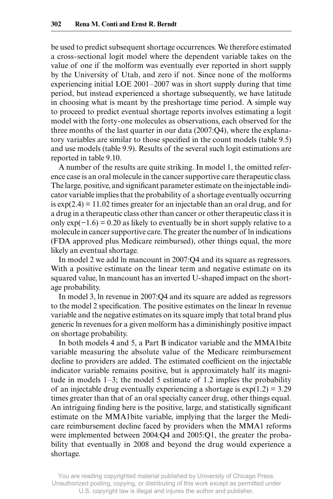be used to predict subsequent shortage occurrences. We therefore estimated a cross- sectional logit model where the dependent variable takes on the value of one if the molform was eventually ever reported in short supply by the University of Utah, and zero if not. Since none of the molforms experiencing initial LOE 2001–2007 was in short supply during that time period, but instead experienced a shortage subsequently, we have latitude in choosing what is meant by the preshortage time period. A simple way to proceed to predict eventual shortage reports involves estimating a logit model with the forty- one molecules as observations, each observed for the three months of the last quarter in our data (2007:Q4), where the explanatory variables are similar to those specified in the count models (table 9.5) and use models (table 9.9). Results of the several such logit estimations are reported in table 9.10.

 A number of the results are quite striking. In model 1, the omitted reference case is an oral molecule in the cancer supportive care therapeutic class. The large, positive, and significant parameter estimate on the injectable indicator variable implies that the probability of a shortage eventually occurring is  $exp(2.4) = 11.02$  times greater for an injectable than an oral drug, and for a drug in a therapeutic class other than cancer or other therapeutic class it is only  $exp(-1.6) = 0.20$  as likely to eventually be in short supply relative to a molecule in cancer supportive care. The greater the number of ln indications (FDA approved plus Medicare reimbursed), other things equal, the more likely an eventual shortage.

In model 2 we add ln mancount in 2007:Q4 and its square as regressors. With a positive estimate on the linear term and negative estimate on its squared value, ln mancount has an inverted U- shaped impact on the shortage probability.

In model 3, ln revenue in 2007:Q4 and its square are added as regressors to the model 2 specification. The positive estimates on the linear ln revenue variable and the negative estimates on its square imply that total brand plus generic ln revenues for a given molform has a diminishingly positive impact on shortage probability.

In both models 4 and 5, a Part B indicator variable and the MMA1bite variable measuring the absolute value of the Medicare reimbursement decline to providers are added. The estimated coefficient on the injectable indicator variable remains positive, but is approximately half its magnitude in models 1–3; the model 5 estimate of 1.2 implies the probability of an injectable drug eventually experiencing a shortage is  $\exp(1.2) = 3.29$ times greater than that of an oral specialty cancer drug, other things equal. An intriguing finding here is the positive, large, and statistically significant estimate on the MMA1bite variable, implying that the larger the Medicare reimbursement decline faced by providers when the MMA1 reforms were implemented between 2004:Q4 and 2005:Q1, the greater the probability that eventually in 2008 and beyond the drug would experience a shortage.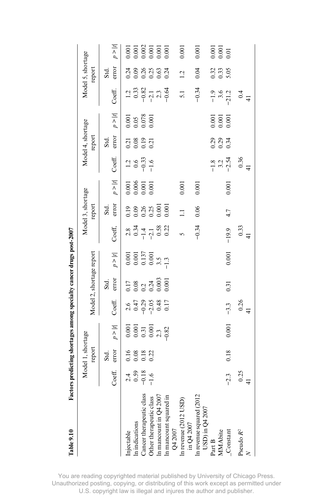| Table 9.10                                   |                                     |                                                           |                                                                                   |                                                                |                                                                               | Factors predicting shortages among specialty cancer drugs post-2007             |                                                |                                                                           |                                          |                                             |                          |                                                                |                                                 |                        |                                                                                               |
|----------------------------------------------|-------------------------------------|-----------------------------------------------------------|-----------------------------------------------------------------------------------|----------------------------------------------------------------|-------------------------------------------------------------------------------|---------------------------------------------------------------------------------|------------------------------------------------|---------------------------------------------------------------------------|------------------------------------------|---------------------------------------------|--------------------------|----------------------------------------------------------------|-------------------------------------------------|------------------------|-----------------------------------------------------------------------------------------------|
|                                              |                                     | Model 1, shortage                                         |                                                                                   |                                                                |                                                                               |                                                                                 |                                                | Model 3, shortage                                                         |                                          |                                             | Model 4, shortage        |                                                                |                                                 | Model 5, shortage      |                                                                                               |
|                                              |                                     | report                                                    |                                                                                   |                                                                | Model 2, shortage report                                                      |                                                                                 |                                                | report                                                                    |                                          |                                             | report                   |                                                                |                                                 | report                 |                                                                                               |
|                                              | Coeff.                              | error<br>Std.                                             | $p >  t $                                                                         | Coeff.                                                         | error<br>Std.                                                                 | $p >  t $                                                                       | Coeff,                                         | error<br>Std.                                                             | $p >  t $                                | Coeff.                                      | error<br>Std.            | $p >  t $                                                      | Coeff.                                          | error<br>Std.          | p >  t                                                                                        |
| Injectable                                   |                                     |                                                           |                                                                                   |                                                                |                                                                               |                                                                                 |                                                |                                                                           |                                          |                                             |                          |                                                                |                                                 |                        |                                                                                               |
| In indications                               |                                     |                                                           |                                                                                   |                                                                |                                                                               |                                                                                 |                                                |                                                                           |                                          |                                             |                          |                                                                |                                                 |                        |                                                                                               |
| Cancer therapeutic class                     | $2.4$<br>$0.59$<br>$-1.6$<br>$-1.6$ | $\begin{array}{c} 16 \\ 0.18 \\ 0.13 \\ 0.22 \end{array}$ | $\begin{array}{c} 0.001 \\ 0.001 \\ 0.31 \\ 0.001 \\ 0.001 \\ \vdots \end{array}$ | $2, 47$<br>$0, 47$<br>$0, 47$<br>$0, 48$<br>$0, 17$<br>$0, 17$ | $\begin{array}{c} 1.7 \\ 1.08 \\ 0.24 \\ 0.003 \\ 0.003 \\ 0.001 \end{array}$ | $\begin{array}{c} 0.001 \\ 0.001 \\ 0.137 \\ 0.001 \\ 0.001 \\ 1.3 \end{array}$ | $2.8$<br>$0.34$<br>$-1.4$<br>$-0.52$<br>$0.22$ | $\begin{array}{c} 288 \\ 0.000 \\ 0.000 \\ 0.000 \\ 0.000 \\ \end{array}$ | $0.001$<br>$0.006$<br>$0.001$<br>$0.001$ | $\frac{12}{9}$ $\frac{6}{9}$ $\frac{33}{1}$ | ลี 8 9 สี<br>อ้ อ้ อ้ อี | $\begin{array}{c} 0.001 \\ 0.05 \\ 0.078 \\ 0.001 \end{array}$ | $1.3$<br>$0.33$<br>$-0.32$<br>$-1.3$<br>$-0.54$ | 3<br>2000000<br>200000 | $\begin{array}{l} 0.001 \\ 0.001 \\ 0.002 \\ 0.001 \\ 0.001 \\ 0.001 \\ 0.001 \\ \end{array}$ |
| Other therapeutic class                      |                                     |                                                           |                                                                                   |                                                                |                                                                               |                                                                                 |                                                |                                                                           |                                          |                                             |                          |                                                                |                                                 |                        |                                                                                               |
| In mancount in $Q4 2007$                     |                                     |                                                           |                                                                                   |                                                                |                                                                               |                                                                                 |                                                |                                                                           |                                          |                                             |                          |                                                                |                                                 |                        |                                                                                               |
| In mancount squared in<br>Q4 2007            |                                     |                                                           |                                                                                   |                                                                |                                                                               |                                                                                 |                                                |                                                                           |                                          |                                             |                          |                                                                |                                                 |                        |                                                                                               |
|                                              |                                     |                                                           |                                                                                   |                                                                |                                                                               |                                                                                 |                                                |                                                                           |                                          |                                             |                          |                                                                |                                                 |                        |                                                                                               |
|                                              |                                     |                                                           |                                                                                   |                                                                |                                                                               |                                                                                 | 5                                              | $\overline{1}$                                                            | $0.001\,$                                |                                             |                          |                                                                | 5.1                                             | 1.2                    | 0.001                                                                                         |
| In revenue (2012 USD)<br>in Q4 2007          |                                     |                                                           |                                                                                   |                                                                |                                                                               |                                                                                 |                                                |                                                                           |                                          |                                             |                          |                                                                |                                                 |                        |                                                                                               |
|                                              |                                     |                                                           |                                                                                   |                                                                |                                                                               |                                                                                 | $-0.34$                                        | 0.06                                                                      | 0.001                                    |                                             |                          |                                                                | $-0.34$                                         | 0.04                   | 0.001                                                                                         |
| In revenue squared (2012)<br>USD) in Q4 2007 |                                     |                                                           |                                                                                   |                                                                |                                                                               |                                                                                 |                                                |                                                                           |                                          |                                             |                          |                                                                |                                                 |                        |                                                                                               |
| Part B                                       |                                     |                                                           |                                                                                   |                                                                |                                                                               |                                                                                 |                                                |                                                                           |                                          |                                             |                          |                                                                |                                                 |                        |                                                                                               |
| MMAbite                                      |                                     |                                                           |                                                                                   |                                                                |                                                                               |                                                                                 |                                                |                                                                           |                                          | $-1.8$<br>$-3.2$<br>$-2.54$                 |                          | $\begin{array}{c} 0.001 \\ 0.001 \\ 0.001 \end{array}$         | $-1.9$<br>$-3.6$<br>$-21.2$                     | 0.33<br>0.33<br>5.05   | 0.001<br>0.001<br>0.01                                                                        |
| $\_Constant$                                 | $-2.3$                              | 0.18                                                      | 0.001                                                                             | $-3.3$                                                         | 0.31                                                                          | 0.001                                                                           | $-19.9$                                        | 4.7                                                                       | 0.001                                    |                                             |                          |                                                                |                                                 |                        |                                                                                               |
| Pseudo $R^2$                                 |                                     |                                                           |                                                                                   |                                                                |                                                                               |                                                                                 |                                                |                                                                           |                                          |                                             |                          |                                                                |                                                 |                        |                                                                                               |
|                                              | $\frac{0.25}{41}$                   |                                                           |                                                                                   | $0.26$<br>41                                                   |                                                                               |                                                                                 | $\begin{array}{c} 0.33 \\ 41 \end{array}$      |                                                                           |                                          | $0.36$<br>41                                |                          |                                                                | $\frac{4}{1}$                                   |                        |                                                                                               |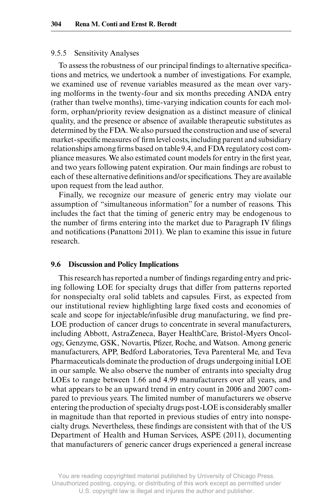### 9.5.5 Sensitivity Analyses

To assess the robustness of our principal findings to alternative specifications and metrics, we undertook a number of investigations. For example, we examined use of revenue variables measured as the mean over varying molforms in the twenty- four and six months preceding ANDA entry (rather than twelve months), time- varying indication counts for each molform, orphan/priority review designation as a distinct measure of clinical quality, and the presence or absence of available therapeutic substitutes as determined by the FDA. We also pursued the construction and use of several market-specific measures of firm level costs, including parent and subsidiary relationships among firms based on table 9.4, and FDA regulatory cost compliance measures. We also estimated count models for entry in the first year, and two years following patent expiration. Our main findings are robust to each of these alternative definitions and/or specifications. They are available upon request from the lead author.

Finally, we recognize our measure of generic entry may violate our assumption of "simultaneous information" for a number of reasons. This includes the fact that the timing of generic entry may be endogenous to the number of firms entering into the market due to Paragraph IV filings and notifications (Panattoni 2011). We plan to examine this issue in future research.

#### **9.6 Discussion and Policy Implications**

This research has reported a number of findings regarding entry and pricing following LOE for specialty drugs that differ from patterns reported for nonspecialty oral solid tablets and capsules. First, as expected from our institutional review highlighting large fixed costs and economies of scale and scope for injectable/infusible drug manufacturing, we find pre-LOE production of cancer drugs to concentrate in several manufacturers, including Abbott, AstraZeneca, Bayer HealthCare, Bristol- Myers Oncology, Genzyme, GSK, Novartis, Pfizer, Roche, and Watson. Among generic manufacturers, APP, Bedford Laboratories, Teva Parenteral Me, and Teva Pharmaceuticals dominate the production of drugs undergoing initial LOE in our sample. We also observe the number of entrants into specialty drug LOEs to range between 1.66 and 4.99 manufacturers over all years, and what appears to be an upward trend in entry count in 2006 and 2007 compared to previous years. The limited number of manufacturers we observe entering the production of specialty drugs post- LOE is considerably smaller in magnitude than that reported in previous studies of entry into nonspecialty drugs. Nevertheless, these findings are consistent with that of the US Department of Health and Human Services, ASPE (2011), documenting that manufacturers of generic cancer drugs experienced a general increase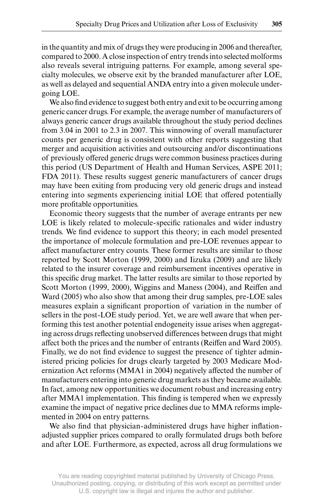in the quantity and mix of drugs they were producing in 2006 and thereafter, compared to 2000. A close inspection of entry trends into selected molforms also reveals several intriguing patterns. For example, among several specialty molecules, we observe exit by the branded manufacturer after LOE, as well as delayed and sequential ANDA entry into a given molecule undergoing LOE.

We also find evidence to suggest both entry and exit to be occurring among generic cancer drugs. For example, the average number of manufacturers of always generic cancer drugs available throughout the study period declines from 3.04 in 2001 to 2.3 in 2007. This winnowing of overall manufacturer counts per generic drug is consistent with other reports suggesting that merger and acquisition activities and outsourcing and/or discontinuations of previously offered generic drugs were common business practices during this period (US Department of Health and Human Services, ASPE 2011; FDA 2011). These results suggest generic manufacturers of cancer drugs may have been exiting from producing very old generic drugs and instead entering into segments experiencing initial LOE that offered potentially more profitable opportunities.

Economic theory suggests that the number of average entrants per new LOE is likely related to molecule-specific rationales and wider industry trends. We find evidence to support this theory; in each model presented the importance of molecule formulation and pre- LOE revenues appear to affect manufacturer entry counts. These former results are similar to those reported by Scott Morton (1999, 2000) and Iizuka (2009) and are likely related to the insurer coverage and reimbursement incentives operative in this specific drug market. The latter results are similar to those reported by Scott Morton (1999, 2000), Wiggins and Maness (2004), and Reiffen and Ward (2005) who also show that among their drug samples, pre-LOE sales measures explain a significant proportion of variation in the number of sellers in the post-LOE study period. Yet, we are well aware that when performing this test another potential endogeneity issue arises when aggregating across drugs reflecting unobserved differences between drugs that might affect both the prices and the number of entrants (Reiffen and Ward 2005). Finally, we do not find evidence to suggest the presence of tighter administered pricing policies for drugs clearly targeted by 2003 Medicare Modernization Act reforms (MMA1 in 2004) negatively affected the number of manufacturers entering into generic drug markets as they became available. In fact, among new opportunities we document robust and increasing entry after MMA1 implementation. This finding is tempered when we expressly examine the impact of negative price declines due to MMA reforms implemented in 2004 on entry patterns.

We also find that physician-administered drugs have higher inflationadjusted supplier prices compared to orally formulated drugs both before and after LOE. Furthermore, as expected, across all drug formulations we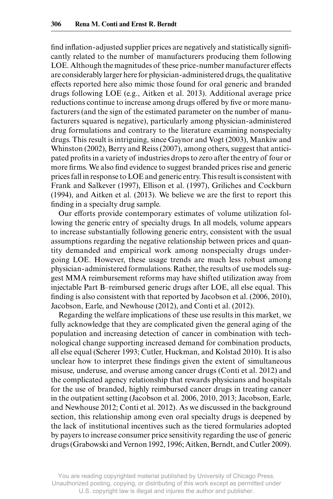find inflation-adjusted supplier prices are negatively and statistically significantly related to the number of manufacturers producing them following LOE. Although the magnitudes of these price-number manufacturer effects are considerably larger here for physician- administered drugs, the qualitative effects reported here also mimic those found for oral generic and branded drugs following LOE (e.g., Aitken et al. 2013). Additional average price reductions continue to increase among drugs offered by five or more manufacturers (and the sign of the estimated parameter on the number of manufacturers squared is negative), particularly among physician- administered drug formulations and contrary to the literature examining nonspecialty drugs. This result is intriguing, since Gaynor and Vogt (2003), Mankiw and Whinston (2002), Berry and Reiss (2007), among others, suggest that anticipated profits in a variety of industries drops to zero after the entry of four or more firms. We also find evidence to suggest branded prices rise and generic prices fall in response to LOE and generic entry. This result is consistent with Frank and Salkever (1997), Ellison et al. (1997), Griliches and Cockburn  $(1994)$ , and Aitken et al.  $(2013)$ . We believe we are the first to report this finding in a specialty drug sample.

Our efforts provide contemporary estimates of volume utilization following the generic entry of specialty drugs. In all models, volume appears to increase substantially following generic entry, consistent with the usual assumptions regarding the negative relationship between prices and quantity demanded and empirical work among nonspecialty drugs undergoing LOE. However, these usage trends are much less robust among physician- administered formulations. Rather, the results of use models suggest MMA reimbursement reforms may have shifted utilization away from injectable Part B–reimbursed generic drugs after LOE, all else equal. This finding is also consistent with that reported by Jacobson et al. (2006, 2010), Jacobson, Earle, and Newhouse (2012), and Conti et al. (2012).

Regarding the welfare implications of these use results in this market, we fully acknowledge that they are complicated given the general aging of the population and increasing detection of cancer in combination with technological change supporting increased demand for combination products, all else equal (Scherer 1993; Cutler, Huckman, and Kolstad 2010). It is also unclear how to interpret these findings given the extent of simultaneous misuse, underuse, and overuse among cancer drugs (Conti et al. 2012) and the complicated agency relationship that rewards physicians and hospitals for the use of branded, highly reimbursed cancer drugs in treating cancer in the outpatient setting (Jacobson et al. 2006, 2010, 2013; Jacobson, Earle, and Newhouse 2012; Conti et al. 2012). As we discussed in the background section, this relationship among even oral specialty drugs is deepened by the lack of institutional incentives such as the tiered formularies adopted by payers to increase consumer price sensitivity regarding the use of generic drugs (Grabowski and Vernon 1992, 1996; Aitken, Berndt, and Cutler 2009).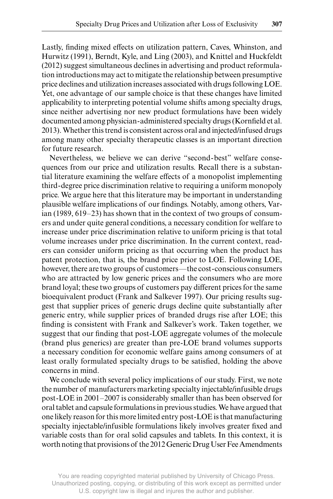Lastly, finding mixed effects on utilization pattern, Caves, Whinston, and Hurwitz (1991), Berndt, Kyle, and Ling (2003), and Knittel and Huckfeldt (2012) suggest simultaneous declines in advertising and product reformulation introductions may act to mitigate the relationship between presumptive price declines and utilization increases associated with drugs following LOE. Yet, one advantage of our sample choice is that these changes have limited applicability to interpreting potential volume shifts among specialty drugs, since neither advertising nor new product formulations have been widely documented among physician-administered specialty drugs (Kornfield et al. 2013). Whether this trend is consistent across oral and injected/infused drugs among many other specialty therapeutic classes is an important direction for future research.

Nevertheless, we believe we can derive "second- best" welfare consequences from our price and utilization results. Recall there is a substantial literature examining the welfare effects of a monopolist implementing third- degree price discrimination relative to requiring a uniform monopoly price. We argue here that this literature may be important in understanding plausible welfare implications of our findings. Notably, among others, Varian (1989, 619–23) has shown that in the context of two groups of consumers and under quite general conditions, a necessary condition for welfare to increase under price discrimination relative to uniform pricing is that total volume increases under price discrimination. In the current context, readers can consider uniform pricing as that occurring when the product has patent protection, that is, the brand price prior to LOE. Following LOE, however, there are two groups of customers—the cost- conscious consumers who are attracted by low generic prices and the consumers who are more brand loyal; these two groups of customers pay different prices for the same bioequivalent product (Frank and Salkever 1997). Our pricing results suggest that supplier prices of generic drugs decline quite substantially after generic entry, while supplier prices of branded drugs rise after LOE; this finding is consistent with Frank and Salkever's work. Taken together, we suggest that our finding that post-LOE aggregate volumes of the molecule (brand plus generics) are greater than pre- LOE brand volumes supports a necessary condition for economic welfare gains among consumers of at least orally formulated specialty drugs to be satisfied, holding the above concerns in mind.

We conclude with several policy implications of our study. First, we note the number of manufacturers marketing specialty injectable/infusible drugs post- LOE in 2001–2007 is considerably smaller than has been observed for oral tablet and capsule formulations in previous studies. We have argued that one likely reason for this more limited entry post- LOE is that manufacturing specialty injectable/infusible formulations likely involves greater fixed and variable costs than for oral solid capsules and tablets. In this context, it is worth noting that provisions of the 2012 Generic Drug User Fee Amendments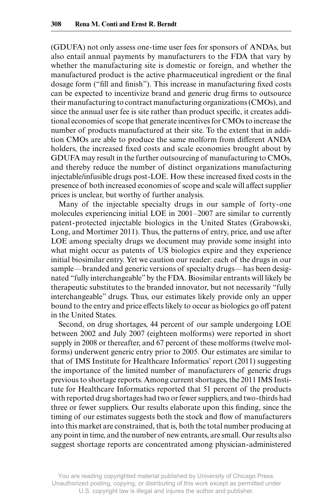(GDUFA) not only assess one- time user fees for sponsors of ANDAs, but also entail annual payments by manufacturers to the FDA that vary by whether the manufacturing site is domestic or foreign, and whether the manufactured product is the active pharmaceutical ingredient or the final dosage form ("fill and finish"). This increase in manufacturing fixed costs can be expected to incentivize brand and generic drug firms to outsource their manufacturing to contract manufacturing organizations (CMOs), and since the annual user fee is site rather than product specific, it creates additional economies of scope that generate incentives for CMOs to increase the number of products manufactured at their site. To the extent that in addition CMOs are able to produce the same molform from different ANDA holders, the increased fixed costs and scale economies brought about by GDUFA may result in the further outsourcing of manufacturing to CMOs, and thereby reduce the number of distinct organizations manufacturing injectable/infusible drugs post-LOE. How these increased fixed costs in the presence of both increased economies of scope and scale will affect supplier prices is unclear, but worthy of further analysis.

Many of the injectable specialty drugs in our sample of forty-one molecules experiencing initial LOE in 2001–2007 are similar to currently patent- protected injectable biologics in the United States (Grabowski, Long, and Mortimer 2011). Thus, the patterns of entry, price, and use after LOE among specialty drugs we document may provide some insight into what might occur as patents of US biologics expire and they experience initial biosimilar entry. Yet we caution our reader: each of the drugs in our sample—branded and generic versions of specialty drugs—has been designated "fully interchangeable" by the FDA. Biosimilar entrants will likely be therapeutic substitutes to the branded innovator, but not necessarily "fully interchangeable" drugs. Thus, our estimates likely provide only an upper bound to the entry and price effects likely to occur as biologics go off patent in the United States.

Second, on drug shortages, 44 percent of our sample undergoing LOE between 2002 and July 2007 (eighteen molforms) were reported in short supply in 2008 or thereafter, and 67 percent of these molforms (twelve molforms) underwent generic entry prior to 2005. Our estimates are similar to that of IMS Institute for Healthcare Informatics' report (2011) suggesting the importance of the limited number of manufacturers of generic drugs previous to shortage reports. Among current shortages, the 2011 IMS Institute for Healthcare Informatics reported that 51 percent of the products with reported drug shortages had two or fewer suppliers, and two- thirds had three or fewer suppliers. Our results elaborate upon this finding, since the timing of our estimates suggests both the stock and flow of manufacturers into this market are constrained, that is, both the total number producing at any point in time, and the number of new entrants, are small. Our results also suggest shortage reports are concentrated among physician- administered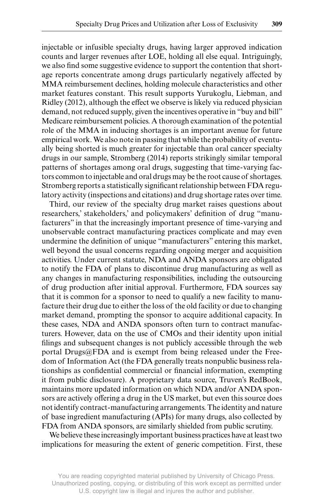injectable or infusible specialty drugs, having larger approved indication counts and larger revenues after LOE, holding all else equal. Intriguingly, we also find some suggestive evidence to support the contention that shortage reports concentrate among drugs particularly negatively affected by MMA reimbursement declines, holding molecule characteristics and other market features constant. This result supports Yurukoglu, Liebman, and Ridley (2012), although the effect we observe is likely via reduced physician demand, not reduced supply, given the incentives operative in "buy and bill" Medicare reimbursement policies. A thorough examination of the potential role of the MMA in inducing shortages is an important avenue for future empirical work. We also note in passing that while the probability of eventually being shorted is much greater for injectable than oral cancer specialty drugs in our sample, Stromberg (2014) reports strikingly similar temporal patterns of shortages among oral drugs, suggesting that time- varying factors common to injectable and oral drugs may be the root cause of shortages. Stromberg reports a statistically significant relationship between FDA regulatory activity (inspections and citations) and drug shortage rates over time.

Third, our review of the specialty drug market raises questions about researchers,' stakeholders,' and policymakers' definition of drug "manufacturers" in that the increasingly important presence of time- varying and unobservable contract manufacturing practices complicate and may even undermine the definition of unique "manufacturers" entering this market, well beyond the usual concerns regarding ongoing merger and acquisition activities. Under current statute, NDA and ANDA sponsors are obligated to notify the FDA of plans to discontinue drug manufacturing as well as any changes in manufacturing responsibilities, including the outsourcing of drug production after initial approval. Furthermore, FDA sources say that it is common for a sponsor to need to qualify a new facility to manufacture their drug due to either the loss of the old facility or due to changing market demand, prompting the sponsor to acquire additional capacity. In these cases, NDA and ANDA sponsors often turn to contract manufacturers. However, data on the use of CMOs and their identity upon initial filings and subsequent changes is not publicly accessible through the web portal Drugs@FDA and is exempt from being released under the Freedom of Information Act (the FDA generally treats nonpublic business relationships as confidential commercial or financial information, exempting it from public disclosure). A proprietary data source, Truven's RedBook, maintains more updated information on which NDA and/or ANDA sponsors are actively offering a drug in the US market, but even this source does not identify contract- manufacturing arrangements. The identity and nature of base ingredient manufacturing (APIs) for many drugs, also collected by FDA from ANDA sponsors, are similarly shielded from public scrutiny.

We believe these increasingly important business practices have at least two implications for measuring the extent of generic competition. First, these

You are reading copyrighted material published by University of Chicago Press. Unauthorized posting, copying, or distributing of this work except as permitted under U.S. copyright law is illegal and injures the author and publisher.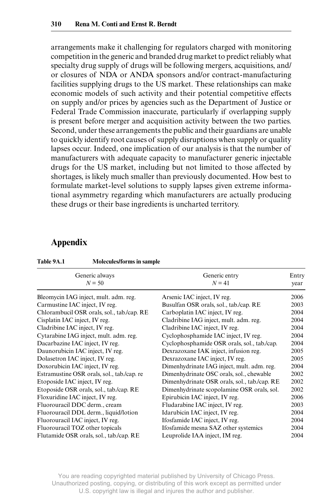arrangements make it challenging for regulators charged with monitoring competition in the generic and branded drug market to predict reliably what specialty drug supply of drugs will be following mergers, acquisitions, and/ or closures of NDA or ANDA sponsors and/or contract- manufacturing facilities supplying drugs to the US market. These relationships can make economic models of such activity and their potential competitive effects on supply and/or prices by agencies such as the Department of Justice or Federal Trade Commission inaccurate, particularly if overlapping supply is present before merger and acquisition activity between the two parties. Second, under these arrangements the public and their guardians are unable to quickly identify root causes of supply disruptions when supply or quality lapses occur. Indeed, one implication of our analysis is that the number of manufacturers with adequate capacity to manufacturer generic injectable drugs for the US market, including but not limited to those affected by shortages, is likely much smaller than previously documented. How best to formulate market- level solutions to supply lapses given extreme informational asymmetry regarding which manufacturers are actually producing these drugs or their base ingredients is uncharted territory.

# **Appendix**

| Generic always                             | Generic entry                                | Entry |
|--------------------------------------------|----------------------------------------------|-------|
| $N = 50$                                   | $N = 41$                                     | year  |
| Bleomycin IAG inject, mult. adm. reg.      | Arsenic IAC inject, IV reg.                  | 2006  |
| Carmustine IAC inject, IV reg.             | Busulfan OSR orals, sol., tab./cap. RE       | 2003  |
| Chlorambucil OSR orals, sol., tab./cap. RE | Carboplatin IAC inject, IV reg.              | 2004  |
| Cisplatin IAC inject, IV reg.              | Cladribine IAG inject, mult. adm. reg.       | 2004  |
| Cladribine IAC inject, IV reg.             | Cladribine IAC inject, IV reg.               | 2004  |
| Cytarabine IAG inject, mult. adm. reg.     | Cyclophosphamide IAC inject, IV reg.         | 2004  |
| Dacarbazine IAC inject, IV reg.            | Cyclophosphamide OSR orals, sol., tab./cap.  | 2004  |
| Daunorubicin IAC inject, IV reg.           | Dexrazoxane IAK inject, infusion reg.        | 2005  |
| Dolasetron IAC inject, IV reg.             | Dexrazoxane IAC inject, IV reg.              | 2005  |
| Doxorubicin IAC inject, IV reg.            | Dimenhydrinate IAG inject, mult. adm. reg.   | 2004  |
| Estramustine OSR orals, sol., tab./cap. re | Dimenhydrinate OSC orals, sol., chewable     | 2002  |
| Etoposide IAC inject, IV reg.              | Dimenhydrinate OSR orals, sol., tab./cap. RE | 2002  |
| Etoposide OSR orals, sol., tab./cap. RE    | Dimenhydrinate scopolamine OSR orals, sol.   | 2002  |
| Floxuridine IAC inject, IV reg.            | Epirubicin IAC inject, IV reg.               | 2006  |
| Fluorouracil DDC derm., cream              | Fludarabine IAC inject, IV reg.              | 2003  |
| Fluorouracil DDL derm., liquid/lotion      | Idarubicin IAC inject, IV reg.               | 2004  |
| Fluorouracil IAC inject, IV reg.           | Ifosfamide IAC inject, IV reg.               | 2004  |
| Fluorouracil TOZ other topicals            | Ifosfamide mesna SAZ other systemics         | 2004  |
| Flutamide OSR orals, sol., tab./cap. RE    | Leuprolide IAA inject, IM reg.               | 2004  |

**Table 9A.1 Molecules/forms in sample**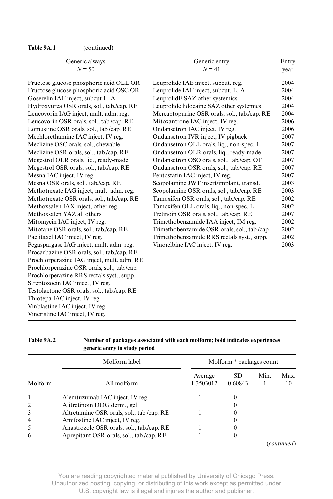**Table 9A.1** (continued)

| Generic always<br>$N = 50$                  | Generic entry<br>$N = 41$                    | Entry<br>year |
|---------------------------------------------|----------------------------------------------|---------------|
| Fructose glucose phosphoric acid OLL OR     | Leuprolide IAE inject, subcut. reg.          | 2004          |
| Fructose glucose phosphoric acid OSC OR     | Leuprolide IAF inject, subcut. L. A.         | 2004          |
| Goserelin IAF inject, subcut L. A.          | LeuprolidE SAZ other systemics               | 2004          |
| Hydroxyurea OSR orals, sol., tab./cap. RE   | Leuprolide lidocaine SAZ other systemics     | 2004          |
| Leucovorin IAG inject, mult. adm. reg.      | Mercaptopurine OSR orals, sol., tab./cap. RE | 2004          |
| Leucovorin OSR orals, sol., tab./cap. RE    | Mitoxantrone IAC inject, IV reg.             | 2006          |
| Lomustine OSR orals, sol., tab./cap. RE     | Ondansetron IAC inject, IV reg.              | 2006          |
| Mechlorethamine IAC inject, IV reg.         | Ondansetron IVR inject, IV pigback           | 2007          |
| Meclizine OSC orals, sol., chewable         | Ondansetron OLL orals, liq., non-spec. L     | 2007          |
| Meclizine OSR orals, sol., tab./cap. RE     | Ondansetron OLR orals, liq., ready-made      | 2007          |
| Megestrol OLR orals, liq., ready-made       | Ondansetron OSO orals, sol., tab./cap. OT    | 2007          |
| Megestrol OSR orals, sol., tab./cap. RE     | Ondansetron OSR orals, sol., tab./cap. RE    | 2007          |
| Mesna IAC inject, IV reg.                   | Pentostatin IAC inject, IV reg.              | 2007          |
| Mesna OSR orals, sol., tab./cap. RE         | Scopolamine JWT insert/implant, transd.      | 2003          |
| Methotrexate IAG inject, mult. adm. reg.    | Scopolamine OSR orals, sol., tab./cap. RE    | 2003          |
| Methotrexate OSR orals, sol., tab./cap. RE  | Tamoxifen OSR orals, sol., tab./cap. RE      | 2002          |
| Methoxsalen IAX inject, other reg.          | Tamoxifen OLL orals, liq., non-spec. L       | 2002          |
| Methoxsalen YAZ all others                  | Tretinoin OSR orals, sol., tab./cap. RE      | 2007          |
| Mitomycin IAC inject, IV reg.               | Trimethobenzamide IAA inject, IM reg.        | 2002          |
| Mitotane OSR orals, sol., tab./cap. RE      | Trimethobenzamide OSR orals, sol., tab./cap. | 2002          |
| Paclitaxel IAC inject, IV reg.              | Trimethobenzamide RRS rectals syst., supp.   | 2002          |
| Pegaspargase IAG inject, mult. adm. reg.    | Vinorelbine IAC inject, IV reg.              | 2003          |
| Procarbazine OSR orals, sol., tab./cap. RE  |                                              |               |
| Prochlorperazine IAG inject, mult. adm. RE  |                                              |               |
| Prochlorperazine OSR orals, sol., tab./cap. |                                              |               |
| Prochlorperazine RRS rectals syst., supp.   |                                              |               |
| Streptozocin IAC inject, IV reg.            |                                              |               |
| Testolactone OSR orals, sol., tab./cap. RE  |                                              |               |
| Thiotepa IAC inject, IV reg.                |                                              |               |
| Vinblastine IAC inject, IV reg.             |                                              |               |
| Vincristine IAC inject, IV reg.             |                                              |               |

|         | Molform label                             | Molform * packages count |                      |      |            |  |
|---------|-------------------------------------------|--------------------------|----------------------|------|------------|--|
| Molform | All molform                               | Average<br>1.3503012     | <b>SD</b><br>0.60843 | Min. | Max.<br>10 |  |
|         | Alemtuzumab IAC inject, IV reg.           |                          |                      |      |            |  |
| 2       | Alitretinoin DDG derm., gel               |                          |                      |      |            |  |
| 3       | Altretamine OSR orals, sol., tab./cap. RE |                          |                      |      |            |  |
| 4       | Amifostine IAC inject, IV reg.            |                          |                      |      |            |  |
| 5       | Anastrozole OSR orals, sol., tab./cap. RE |                          |                      |      |            |  |
| 6       | Aprepitant OSR orals, sol., tab./cap. RE  |                          |                      |      |            |  |

#### **Table 9A.2 Number of packages associated with each molform; bold indicates experiences generic entry in study period**

(*continued*)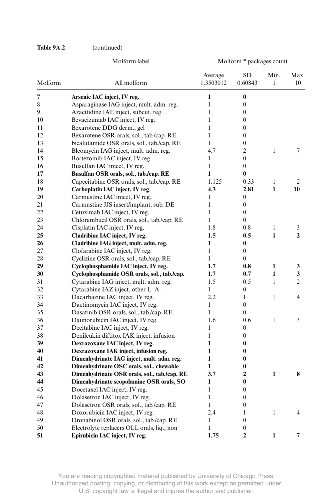# **Table 9A.2** (continued)

|                        | Molform label                                | Molform * packages count         |                  |              |                |  |
|------------------------|----------------------------------------------|----------------------------------|------------------|--------------|----------------|--|
| Molform<br>All molform |                                              | Average<br>1.3503012             | SD<br>0.60843    | Min.<br>1    | Max.<br>10     |  |
| 7                      | Arsenic IAC inject, IV reg.                  | 1                                | $\bf{0}$         |              |                |  |
| 8                      | Asparaginase IAG inject, mult. adm. reg.     | 1                                | $\theta$         |              |                |  |
| 9                      | Azacitidine IAE inject, subcut. reg.         | $\mathbf{1}$                     | $\overline{0}$   |              |                |  |
| 10                     | Bevacizumab IAC inject, IV reg.              | $\mathbf{1}$                     | $\overline{0}$   |              |                |  |
| 11                     | Bexarotene DDG derm., gel                    | 1                                | $\theta$         |              |                |  |
| 12                     | Bexarotene OSR orals, sol., tab./cap. RE     | $\mathbf{1}$                     | $\overline{0}$   |              |                |  |
| 13                     | bicalutamide OSR orals, sol., tab./cap. RE   | 1                                | $\overline{0}$   |              |                |  |
| 14                     | Bleomycin IAG inject, mult. adm. reg.        | 4.7                              | $\overline{c}$   | 1            | $\overline{7}$ |  |
| 15                     | Bortezomib IAC inject, IV reg.               | 1                                | $\overline{0}$   |              |                |  |
| 16                     | Busulfan IAC inject, IV reg.                 | 1                                | $\overline{0}$   |              |                |  |
| 17                     | Busulfan OSR orals, sol., tab./cap. RE       | 1                                | 0                |              |                |  |
| 18                     | Capecitabine OSR orals, sol., tab./cap. RE   | 1.125                            | 0.33             | $\mathbf{1}$ | $\overline{2}$ |  |
| 19                     | Carboplatin IAC inject, IV reg.              | 4.3                              | 2.81             | $\mathbf{1}$ | 10             |  |
| 20                     | Carmustine IAC inject, IV reg.               | 1                                | $\theta$         |              |                |  |
| 21                     | Carmustine JJS insert/implant, sub. DE       | 1                                | $\overline{0}$   |              |                |  |
| 22                     | Cetuximab IAC inject, IV reg.                | 1                                | $\theta$         |              |                |  |
| 23                     | Chlorambucil OSR orals, sol., tab./cap. RE   | 1                                | $\overline{0}$   |              |                |  |
| 24                     | Cisplatin IAC inject, IV reg.                | 1.8                              | 0.8              | $\mathbf{1}$ | 3              |  |
| 25                     | Cladribine IAC inject, IV reg.               | 1.5                              | 0.5              | 1            | $\mathbf{2}$   |  |
| 26                     | Cladribine IAG inject, mult. adm. reg.       | 1                                | 0                |              |                |  |
| 27                     | Clofarabine IAC inject, IV reg.              | 1                                | $\mathbf{0}$     |              |                |  |
| 28                     | Cyclizine OSR orals, sol., tab./cap. RE      | 1                                | 0                |              |                |  |
| 29                     | Cyclophosphamide IAC inject, IV reg.         | 1.7                              | 0.8              | 1            | 3              |  |
| 30                     | Cyclophosphamide OSR orals, sol., tab./cap.  | 1.7                              | 0.7              | $\mathbf{1}$ | 3              |  |
| 31                     | Cytarabine IAG inject, mult. adm. reg.       | 1.5                              | 0.5              | $\mathbf{1}$ | $\overline{c}$ |  |
| 32                     | Cytarabine IAZ inject, other L. A.           | $\mathbf{1}$<br>$\boldsymbol{0}$ |                  |              |                |  |
| 33                     | Dacarbazine IAC inject, IV reg.              | 2.2                              | 1                | 1            | 4              |  |
| 34                     | Dactinomycin IAC inject, IV reg.             | 1                                | $\overline{0}$   |              |                |  |
| 35                     | Dasatinib OSR orals, sol., tab./cap. RE      | 1                                | $\theta$         |              |                |  |
| 36                     | Daunorubicin IAC inject, IV reg.             | 1.6                              | 0.6              | 1            | 3              |  |
| 37                     | Decitabine IAC inject, IV reg.               | 1                                | 0                |              |                |  |
| 38                     | Denileukin diftitox IAK inject, infusion     | 1                                | 0                |              |                |  |
| 39                     | Dexrazoxane IAC inject, IV reg.              | 1                                | 0                |              |                |  |
| 40                     | Dexrazoxane IAK inject, infusion reg.        | $\mathbf{1}$                     | 0                |              |                |  |
| 41                     | Dimenhydrinate IAG inject, mult. adm. reg.   | $\mathbf{1}$                     | 0                |              |                |  |
| 42                     | Dimenhydrinate OSC orals, sol., chewable     | 1                                | 0                |              |                |  |
| 43                     | Dimenhydrinate OSR orals, sol., tab./cap. RE | 3.7                              | $\overline{2}$   | $\mathbf{1}$ | 8              |  |
| 44                     | Dimenhydrinate scopolamine OSR orals, SO     | 1                                | 0                |              |                |  |
| 45                     | Docetaxel IAC inject, IV reg.                | 1                                | 0                |              |                |  |
| 46                     | Dolasetron IAC inject, IV reg.               | $\mathbf{1}$                     | 0                |              |                |  |
| 47                     | Dolasetron OSR orals, sol., tab./cap. RE     | 1                                | $\boldsymbol{0}$ |              |                |  |
| 48                     | Doxorubicin IAC inject, IV reg.              | 2.4                              | $\mathbf{1}$     | $\mathbf{1}$ | 4              |  |
| 49                     | Dronabinol OSR orals, sol., tab./cap. RE     | 1                                | $\boldsymbol{0}$ |              |                |  |
| 50                     | Electrolyte replacers OLL orals, liq., non   | 1                                | 0                |              |                |  |
| 51                     | Epirubicin IAC inject, IV reg.               | 1.75                             | $\overline{2}$   | 1            | 7              |  |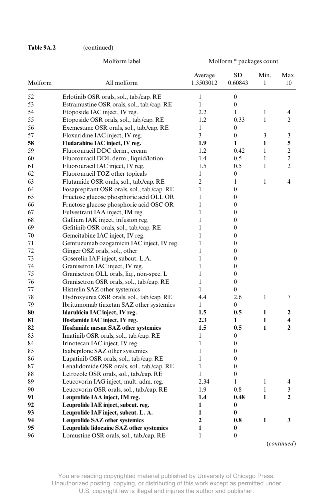# **Table 9A.2** (continued)

|         | Molform label                               |                      | Molform * packages count |              |                |
|---------|---------------------------------------------|----------------------|--------------------------|--------------|----------------|
| Molform | All molform                                 | Average<br>1.3503012 | SD<br>0.60843            | Min.<br>1    | Max.<br>10     |
| 52      | Erlotinib OSR orals, sol., tab./cap. RE     | $\mathbf{1}$         | $\boldsymbol{0}$         |              |                |
| 53      | Estramustine OSR orals, sol., tab./cap. RE  | $\mathbf{1}$         | $\boldsymbol{0}$         |              |                |
| 54      | Etoposide IAC inject, IV reg.               | 2.2                  | 1                        | 1            | 4              |
| 55      | Etoposide OSR orals, sol., tab./cap. RE     | 1.2                  | 0.33                     | 1            | 2              |
| 56      | Exemestane OSR orals, sol., tab./cap. RE    | 1                    | $\mathbf{0}$             |              |                |
| 57      | Floxuridine IAC inject, IV reg.             | 3                    | $\mathbf{0}$             | 3            | 3              |
| 58      | Fludarabine IAC inject, IV reg.             | 1.9                  | 1                        | 1            | 5              |
| 59      | Fluorouracil DDC derm., cream               | 1.2                  | 0.42                     | 1            | $\overline{2}$ |
| 60      | Fluorouracil DDL derm., liquid/lotion       | 1.4                  | 0.5                      | 1            | $\overline{c}$ |
| 61      | Fluorouracil IAC inject, IV reg.            | 1.5                  | 0.5                      | 1            | $\overline{2}$ |
| 62      | Fluorouracil TOZ other topicals             | 1                    | $\mathbf{0}$             |              |                |
| 63      | Flutamide OSR orals, sol., tab./cap. RE     | $\overline{2}$       | $\mathbf{1}$             | 1            | $\overline{4}$ |
| 64      | Fosaprepitant OSR orals, sol., tab./cap. RE | $\mathbf{1}$         | $\overline{0}$           |              |                |
| 65      | Fructose glucose phosphoric acid OLL OR     | 1                    | 0                        |              |                |
| 66      | Fructose glucose phosphoric acid OSC OR     | 1                    | 0                        |              |                |
| 67      | Fulvestrant IAA inject, IM reg.             | 1                    | 0                        |              |                |
| 68      | Gallium IAK inject, infusion reg.           | 1                    | $\overline{0}$           |              |                |
| 69      | Gefitinib OSR orals, sol., tab./cap. RE     | 1                    | $\overline{0}$           |              |                |
| 70      | Gemcitabine IAC inject, IV reg.             | 1                    | $\overline{0}$           |              |                |
| 71      | Gemtuzumab ozogamicin IAC inject, IV reg.   | 1                    | 0                        |              |                |
| 72      | Ginger OSZ orals, sol., other               | 1                    | $\overline{0}$           |              |                |
| 73      | Goserelin IAF inject, subcut. L.A.          | 1                    | $\overline{0}$           |              |                |
| 74      | Granisetron IAC inject, IV reg.             | 1                    | 0                        |              |                |
| 75      | Granisetron OLL orals, liq., non-spec. L    | 1                    | $\overline{0}$           |              |                |
| 76      | Granisetron OSR orals, sol., tab./cap. RE   | $\mathbf{1}$         | $\overline{0}$           |              |                |
| 77      | Histrelin SAZ other systemics               | 1                    | $\overline{0}$           |              |                |
| 78      | Hydroxyurea OSR orals, sol., tab./cap. RE   | 4.4                  | 2.6                      | 1            | $\tau$         |
| 79      | Ibritumomab tiuxetan SAZ other systemics    | 1                    | $\theta$                 |              |                |
| 80      | Idarubicin IAC inject, IV reg.              | 1.5                  | 0.5                      | $\mathbf{1}$ | 2              |
| 81      | Ifosfamide IAC inject, IV reg.              | 2.3                  | 1                        | 1            | 4              |
| 82      | Ifosfamide mesna SAZ other systemics        | 1.5                  | 0.5                      | $\mathbf{1}$ | $\overline{2}$ |
| 83      | Imatinib OSR orals, sol., tab./cap. RE      | 1                    | $\mathbf{0}$             |              |                |
| 84      | Irinotecan IAC inject, IV reg.              | $\mathbf{1}$         | $\overline{0}$           |              |                |
| 85      | Ixabepilone SAZ other systemics             | $\mathbf{1}$         | $\overline{0}$           |              |                |
| 86      | Lapatinib OSR orals, sol., tab./cap. RE     | $\mathbf{1}$         | 0                        |              |                |
| 87      | Lenalidomide OSR orals, sol., tab./cap. RE  | $\mathbf{1}$         | $\boldsymbol{0}$         |              |                |
| 88      | Letrozole OSR orals, sol., tab./cap. RE     | 1                    | $\boldsymbol{0}$         |              |                |
| 89      | Leucovorin IAG inject, mult. adm. reg.      | 2.34                 | 1                        | 1            | 4              |
| 90      | Leucovorin OSR orals, sol., tab./cap. RE    | 1.9                  | 0.8                      | 1            | 3              |
| 91      | Leuprolide IAA inject, IM reg.              | 1.4                  | 0.48                     | 1            | $\mathbf{2}$   |
| 92      | Leuprolide IAE inject, subcut. reg.         | $\mathbf{1}$         | $\bf{0}$                 |              |                |
| 93      | Leuprolide IAF inject, subcut. L. A.        | $\mathbf{1}$         | 0                        |              |                |
| 94      | <b>Leuprolide SAZ other systemics</b>       | $\overline{2}$       | 0.8                      | $\mathbf{1}$ | 3              |
| 95      | Leuprolide lidocaine SAZ other systemics    | $\mathbf{1}$         | 0                        |              |                |
|         |                                             |                      |                          |              |                |
| 96      | Lomustine OSR orals, sol., tab./cap. RE     | $\mathbf{1}$         | $\boldsymbol{0}$         |              |                |

(*continued*)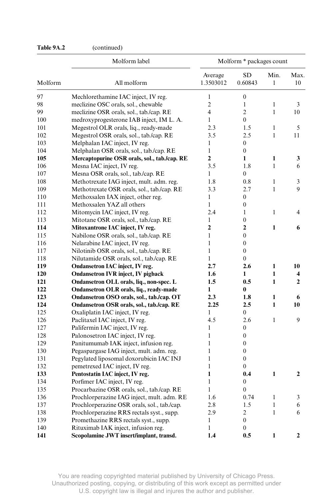# **Table 9A.2** (continued)

|                        | Molform label                                | Molform * packages count |                  |                      |                         |
|------------------------|----------------------------------------------|--------------------------|------------------|----------------------|-------------------------|
| All molform<br>Molform |                                              | Average<br>1.3503012     | SD<br>0.60843    | Min.<br>$\mathbf{1}$ | Max.<br>10              |
| 97                     | Mechlorethamine IAC inject, IV reg.          | $\mathbf{1}$             | $\boldsymbol{0}$ |                      |                         |
| 98                     | meclizine OSC orals, sol., chewable          | $\overline{c}$           | $\mathbf{1}$     | 1                    | 3                       |
| 99                     | meclizine OSR orals, sol., tab./cap. RE      | $\overline{\mathcal{L}}$ | $\overline{c}$   | 1                    | 10                      |
| 100                    | medroxyprogesterone IAB inject, IM L. A.     | $\mathbf{1}$             | $\overline{0}$   |                      |                         |
| 101                    | Megestrol OLR orals, liq., ready-made        | 2.3                      | 1.5              | 1                    | 5                       |
| 102                    | Megestrol OSR orals, sol., tab./cap. RE      | 3.5                      | 2.5              | $\mathbf{1}$         | 11                      |
| 103                    | Melphalan IAC inject, IV reg.                | 1                        | $\boldsymbol{0}$ |                      |                         |
| 104                    | Melphalan OSR orals, sol., tab./cap. RE      | 1                        | $\mathbf{0}$     |                      |                         |
| 105                    | Mercaptopurine OSR orals, sol., tab./cap. RE | $\overline{2}$           | $\mathbf{1}$     | 1                    | 3                       |
| 106                    | Mesna IAC inject, IV reg.                    | 3.5                      | 1.8              | $\mathbf{1}$         | 6                       |
| 107                    | Mesna OSR orals, sol., tab./cap. RE          | 1                        | $\overline{0}$   |                      |                         |
| 108                    | Methotrexate IAG inject, mult. adm. reg.     | 1.8                      | 0.8              | 1                    | 3                       |
| 109                    | Methotrexate OSR orals, sol., tab./cap. RE   | 3.3                      | 2.7              | 1                    | 9                       |
| 110                    | Methoxsalen IAX inject, other reg.           | 1                        | $\overline{0}$   |                      |                         |
| 111                    | Methoxsalen YAZ all others                   | $\mathbf{1}$             | $\overline{0}$   |                      |                         |
| 112                    | Mitomycin IAC inject, IV reg.                | 2.4                      | $\mathbf{1}$     | $\mathbf{1}$         | 4                       |
| 113                    | Mitotane OSR orals, sol., tab./cap. RE       | $\mathbf{1}$             | $\theta$         |                      |                         |
| 114                    | Mitoxantrone IAC inject, IV reg.             | $\overline{2}$           | $\overline{2}$   | 1                    | 6                       |
| 115                    | Nabilone OSR orals, sol., tab./cap. RE       | $\mathbf{1}$             | $\overline{0}$   |                      |                         |
| 116                    | Nelarabine IAC inject, IV reg.               | $\mathbf{1}$             | $\overline{0}$   |                      |                         |
| 117                    | Nilotinib OSR orals, sol., tab./cap. RE      | $\mathbf{1}$             | $\boldsymbol{0}$ |                      |                         |
| 118                    | Nilutamide OSR orals, sol., tab./cap. RE     | $\mathbf{1}$             | $\theta$         |                      |                         |
| 119                    | Ondansetron IAC inject, IV reg.              | 2.7                      | 2.6              | $\mathbf{1}$         | 10                      |
| 120                    | <b>Ondansetron IVR inject, IV pigback</b>    | 1.6                      | $\mathbf{1}$     | 1                    | $\overline{\mathbf{4}}$ |
| 121                    | Ondansetron OLL orals, liq., non-spec. L     | 1.5                      | 0.5              | $\mathbf{1}$         | $\overline{2}$          |
| 122                    | Ondansetron OLR orals, liq., ready-made      | 1                        | $\bf{0}$         |                      |                         |
| 123                    | Ondansetron OSO orals, sol., tab./cap. OT    | $2.3\phantom{0}$         | 1.8              | 1                    | 6                       |
| 124                    | Ondansetron OSR orals, sol., tab./cap. RE    | 2.25                     | 2.5              | $\mathbf{1}$         | 10                      |
| 125                    | Oxaliplatin IAC inject, IV reg.              | $\mathbf{1}$             | $\overline{0}$   |                      |                         |
| 126                    | Paclitaxel IAC inject, IV reg.               | 4.5                      | 2.6              | 1                    | 9                       |
| 127                    | Palifermin IAC inject, IV reg.               | 1                        | $\boldsymbol{0}$ |                      |                         |
| 128                    | Palonosetron IAC inject, IV reg.             | 1                        | $\mathbf{0}$     |                      |                         |
| 129                    | Panitumumab IAK inject, infusion reg.        | $\mathbf{1}$             | $\overline{0}$   |                      |                         |
| 130                    | Pegaspargase IAG inject, mult. adm. reg.     | 1                        | $\boldsymbol{0}$ |                      |                         |
| 131                    | Pegylated liposomal doxorubicin IAC INJ      | 1                        | $\boldsymbol{0}$ |                      |                         |
| 132                    | pemetrexed IAC inject, IV reg.               | 1                        | $\mathbf{0}$     |                      |                         |
| 133                    | Pentostatin IAC inject, IV reg.              | 1                        | 0.4              | 1                    | $\mathbf{2}$            |
| 134                    | Porfimer IAC inject, IV reg.                 | $\mathbf{1}$             | $\boldsymbol{0}$ |                      |                         |
| 135                    | Procarbazine OSR orals, sol., tab./cap. RE   | $\mathbf{1}$             | $\overline{0}$   |                      |                         |
| 136                    | Prochlorperazine IAG inject, mult. adm. RE   | 1.6                      | 0.74             | 1                    | 3                       |
| 137                    | Prochlorperazine OSR orals, sol., tab./cap.  | 2.8                      | 1.5              | 1                    | 6                       |
| 138                    | Prochlorperazine RRS rectals syst., supp.    | 2.9                      | $\overline{c}$   | $\mathbf{1}$         | 6                       |
| 139                    | Promethazine RRS rectals syst., supp.        | $\mathbf{1}$             | $\boldsymbol{0}$ |                      |                         |
| 140                    | Rituximab IAK inject, infusion reg.          | $\mathbf{1}$             | $\overline{0}$   |                      |                         |
| 141                    | Scopolamine JWT insert/implant, transd.      | 1.4                      | 0.5              | 1                    | $\mathbf{2}$            |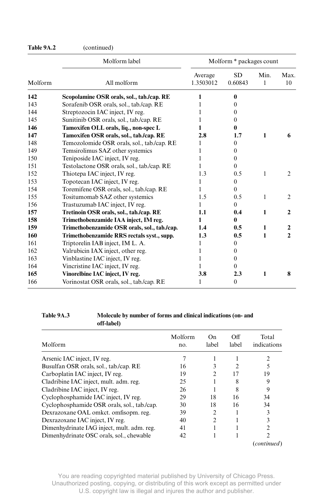| Table 9A.2 | (continued) |
|------------|-------------|
|------------|-------------|

|                        | Molform label                                |                      | Molform * packages count |              |                |
|------------------------|----------------------------------------------|----------------------|--------------------------|--------------|----------------|
| Molform<br>All molform |                                              | Average<br>1.3503012 | SD<br>0.60843            | Min.<br>1    | Max.<br>10     |
| 142                    | Scopolamine OSR orals, sol., tab./cap. RE    |                      | 0                        |              |                |
| 143                    | Sorafenib OSR orals, sol., tab./cap. RE      |                      | $\theta$                 |              |                |
| 144                    | Streptozocin IAC inject, IV reg.             |                      | $\theta$                 |              |                |
| 145                    | Sunitinib OSR orals, sol., tab./cap. RE      |                      | $\theta$                 |              |                |
| 146                    | Tamoxifen OLL orals, liq., non-spec L        |                      | 0                        |              |                |
| 147                    | Tamoxifen OSR orals, sol., tab./cap. RE      | 2.8                  | 1.7                      | $\mathbf{1}$ | 6              |
| 148                    | Temozolomide OSR orals, sol., tab./cap. RE   | 1                    | $\theta$                 |              |                |
| 149                    | Temsirolimus SAZ other systemics             | 1                    | $\theta$                 |              |                |
| 150                    | Teniposide IAC inject, IV reg.               | 1                    | $\theta$                 |              |                |
| 151                    | Testolactone OSR orals, sol., tab./cap. RE   |                      | $\Omega$                 |              |                |
| 152                    | Thiotepa IAC inject, IV reg.                 | 1.3                  | 0.5                      | 1            | $\overline{c}$ |
| 153                    | Topotecan IAC inject, IV reg.                | 1                    | $\mathbf{0}$             |              |                |
| 154                    | Toremifene OSR orals, sol., tab./cap. RE     | 1                    | $\Omega$                 |              |                |
| 155                    | Tositumomab SAZ other systemics              | 1.5                  | 0.5                      | 1            | 2              |
| 156                    | Trastuzumab IAC inject, IV reg.              | 1                    | $\theta$                 |              |                |
| 157                    | Tretinoin OSR orals, sol., tab./cap. RE      | 1.1                  | 0.4                      | 1            | 2              |
| 158                    | Trimethobenzamide IAA inject, IM reg.        | 1                    | 0                        |              |                |
| 159                    | Trimethobenzamide OSR orals, sol., tab./cap. | 1.4                  | 0.5                      | $\mathbf{1}$ | $\mathbf{2}$   |
| 160                    | Trimethobenzamide RRS rectals syst., supp.   | 1.3                  | 0.5                      | 1            | $\mathbf{2}$   |
| 161                    | Triptorelin IAB inject, IM L. A.             | 1                    | $\Omega$                 |              |                |
| 162                    | Valrubicin IAX inject, other reg.            | 1                    | $\theta$                 |              |                |
| 163                    | Vinblastine IAC inject, IV reg.              |                      | $\theta$                 |              |                |
| 164                    | Vincristine IAC inject, IV reg.              |                      | $\theta$                 |              |                |
| 165                    | Vinorelbine IAC inject, IV reg.              | 3.8                  | 2.3                      | 1            | 8              |
| 166                    | Vorinostat OSR orals, sol., tab./cap. RE     | 1                    | $\mathbf{0}$             |              |                |

#### **Table 9A.3 Molecule by number of forms and clinical indications (on- and off- label)**

| Molform                                     | Molform<br>no. | On.<br>label   | Off<br>label | Total<br>indications |
|---------------------------------------------|----------------|----------------|--------------|----------------------|
| Arsenic IAC inject, IV reg.                 |                |                |              | 2                    |
| Busulfan OSR orals, sol., tab./cap. RE      | 16             |                |              |                      |
| Carboplatin IAC inject, IV reg.             | 19             | $\mathcal{D}$  | 17           | 19                   |
| Cladribine IAC inject, mult. adm. reg.      | 25             |                | 8            | 9                    |
| Cladribine IAC inject, IV reg.              | 26             |                | 8            | 9                    |
| Cyclophosphamide IAC inject, IV reg.        | 29             | 18             | 16           | 34                   |
| Cyclophosphamide OSR orals, sol., tab./cap. | 30             | 18             | 16           | 34                   |
| Dexrazoxane OAL omkct. omfisopm. reg.       | 39             | $\mathfrak{D}$ |              |                      |
| Dexrazoxane IAC inject, IV reg.             | 40             | $\mathfrak{D}$ |              |                      |
| Dimenhydrinate IAG inject, mult. adm. reg.  | 41             |                |              |                      |
| Dimenhydrinate OSC orals, sol., chewable    | 42             |                |              | 2                    |
|                                             |                |                |              | (continued)          |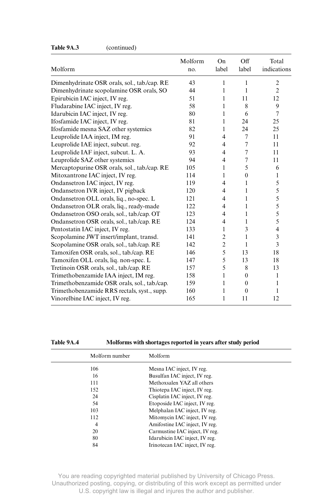| Molform                                      | Molform<br>no. | On<br>label    | Off<br>label   | Total<br>indications |
|----------------------------------------------|----------------|----------------|----------------|----------------------|
| Dimenhydrinate OSR orals, sol., tab./cap. RE | 43             | 1              | 1              | $\mathfrak{2}$       |
| Dimenhydrinate scopolamine OSR orals, SO     | 44             | 1              | 1              | $\overline{2}$       |
| Epirubicin IAC inject, IV reg.               | 51             | 1              | 11             | 12                   |
| Fludarabine IAC inject, IV reg.              | 58             | 1              | 8              | 9                    |
| Idarubicin IAC inject, IV reg.               | 80             | 1              | 6              | $\overline{7}$       |
| Ifosfamide IAC inject, IV reg.               | 81             | 1              | 24             | 25                   |
| Ifosfamide mesna SAZ other systemics         | 82             | 1              | 24             | 25                   |
| Leuprolide IAA inject, IM reg.               | 91             | $\overline{4}$ | 7              | 11                   |
| Leuprolide IAE inject, subcut. reg.          | 92             | $\overline{4}$ | $\overline{7}$ | 11                   |
| Leuprolide IAF inject, subcut. L. A.         | 93             | 4              | $\tau$         | 11                   |
| Leuprolide SAZ other systemics               | 94             | 4              | $\tau$         | 11                   |
| Mercaptopurine OSR orals, sol., tab./cap. RE | 105            | 1              | 5              | 6                    |
| Mitoxantrone IAC inject, IV reg.             | 114            | 1              | $\theta$       | 1                    |
| Ondansetron IAC inject, IV reg.              | 119            | 4              | 1              | 5                    |
| Ondansetron IVR inject, IV pigback           | 120            | 4              | 1              | 5                    |
| Ondansetron OLL orals, liq., no-spec. L      | 121            | 4              | 1              | 5                    |
| Ondansetron OLR orals, liq., ready-made      | 122            | 4              | 1              | 5                    |
| Ondansetron OSO orals, sol., tab./cap. OT    | 123            | 4              | 1              | 5                    |
| Ondansetron OSR orals, sol., tab./cap. RE    | 124            | 4              | 1              | 5                    |
| Pentostatin IAC inject, IV reg.              | 133            | 1              | 3              | 4                    |
| Scopolamine JWT insert/implant, transd.      | 141            | $\overline{c}$ | 1              | 3                    |
| Scopolamine OSR orals, sol., tab./cap. RE    | 142            | $\overline{2}$ | 1              | 3                    |
| Tamoxifen OSR orals, sol., tab./cap. RE      | 146            | 5              | 13             | 18                   |
| Tamoxifen OLL orals, liq. non-spec. L        | 147            | 5              | 13             | 18                   |
| Tretinoin OSR orals, sol., tab./cap. RE      | 157            | 5              | 8              | 13                   |
| Trimethobenzamide IAA inject, IM reg.        | 158            | $\mathbf{1}$   | $\theta$       | 1                    |
| Trimethobenzamide OSR orals, sol., tab./cap. | 159            | 1              | $\theta$       | 1                    |
| Trimethobenzamide RRS rectals, syst., supp.  | 160            | 1              | $\theta$       | 1                    |
| Vinorelbine IAC inject, IV reg.              | 165            | 1              | 11             | 12                   |

#### **Table 9A.3** (continued)

**Table 9A.4 Molforms with shortages reported in years after study period**

| Molform number | Molform                        |
|----------------|--------------------------------|
| 106            | Mesna IAC inject, IV reg.      |
| 16             | Busulfan IAC inject, IV reg.   |
| 111            | Methoxsalen YAZ all others     |
| 152            | Thiotepa IAC inject, IV reg.   |
| 24             | Cisplatin IAC inject, IV reg.  |
| 54             | Etoposide IAC inject, IV reg.  |
| 103            | Melphalan IAC inject, IV reg.  |
| 112            | Mitomycin IAC inject, IV reg.  |
| 4              | Amifostine IAC inject, IV reg. |
| 20             | Carmustine IAC inject, IV reg. |
| 80             | Idarubicin IAC inject, IV reg. |
| 84             | Irinotecan IAC inject, IV reg. |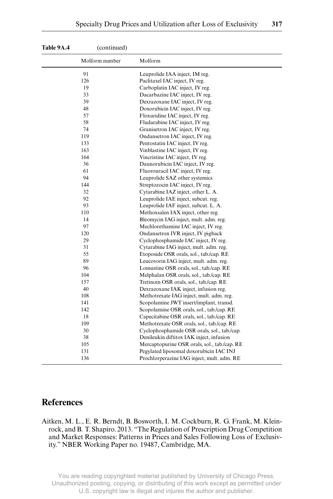| Table 9A.4 | (continued)    |                                              |
|------------|----------------|----------------------------------------------|
|            | Molform number | Molform                                      |
| 91         |                | Leuprolide IAA inject, IM reg.               |
| 126        |                | Paclitaxel IAC inject, IV reg.               |
| 19         |                | Carboplatin IAC inject, IV reg.              |
| 33         |                | Dacarbazine IAC inject, IV reg.              |
| 39         |                | Dexrazoxane IAC inject, IV reg.              |
| 48         |                | Doxorubicin IAC inject, IV reg.              |
| 57         |                | Floxuridine IAC inject, IV reg.              |
| 58         |                | Fludarabine IAC inject, IV reg.              |
| 74         |                | Granisetron IAC inject, IV reg.              |
| 119        |                | Ondansetron IAC inject, IV reg.              |
| 133        |                | Pentostatin IAC inject, IV reg.              |
| 163        |                | Vinblastine IAC inject, IV reg.              |
| 164        |                | Vincristine IAC inject, IV reg.              |
| 36         |                | Daunorubicin IAC inject, IV reg.             |
| 61         |                | Fluorouracil IAC inject, IV reg.             |
| 94         |                | Leuprolide SAZ other systemics               |
| 144        |                | Streptozocin IAC inject, IV reg.             |
| 32         |                | Cytarabine IAZ inject, other L. A.           |
| 92         |                | Leuprolide IAE inject, subcut. reg.          |
| 93         |                | Leuprolide IAF inject, subcut. L. A.         |
| 110        |                | Methoxsalen IAX inject, other reg.           |
| 14         |                | Bleomycin IAG inject, mult. adm. reg.        |
| 97         |                | Mechlorethamine IAC inject, IV reg.          |
| 120        |                | Ondansetron IVR inject, IV pigback           |
| 29         |                | Cyclophosphamide IAC inject, IV reg.         |
| 31         |                | Cytarabine IAG inject, mult. adm. reg.       |
| 55         |                | Etoposide OSR orals, sol., tab./cap. RE      |
| 89         |                | Leucovorin IAG inject, mult. adm. reg.       |
| 96         |                | Lomustine OSR orals, sol., tab./cap. RE      |
| 104        |                | Melphalan OSR orals, sol., tab./cap. RE      |
| 157        |                | Tretinoin OSR orals, sol., tab./cap. RE      |
| 40         |                | Dexrazoxane IAK inject, infusion reg.        |
| 108        |                | Methotrexate IAG inject, mult. adm. reg.     |
| 141        |                | Scopolamine JWT insert/implant, transd.      |
| 142        |                | Scopolamine OSR orals, sol., tab./cap. RE    |
| 18         |                | Capecitabine OSR orals, sol., tab./cap. RE   |
| 109        |                | Methotrexate OSR orals, sol., tab./cap. RE   |
| 30         |                | Cyclophosphamide OSR orals, sol., tab./cap.  |
| 38         |                | Denileukin diftitox IAK inject, infusion     |
| 105        |                | Mercaptopurine OSR orals, sol., tab./cap. RE |
| 131        |                | Pegylated liposomal doxorubicin IAC INJ      |
| 136        |                | Prochlorperazine IAG inject, mult. adm. RE   |

# **References**

Aitken, M. L., E. R. Berndt, B. Bosworth, I. M. Cockburn, R. G. Frank, M. Kleinrock, and B. T. Shapiro. 2013. "The Regulation of Prescription Drug Competition and Market Responses: Patterns in Prices and Sales Following Loss of Exclusivity." NBER Working Paper no. 19487, Cambridge, MA.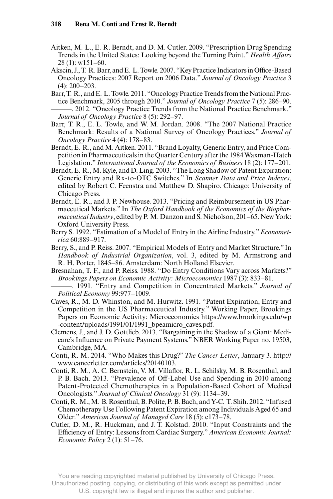- Aitken, M. L., E. R. Berndt, and D. M. Cutler. 2009. "Prescription Drug Spending Trends in the United States: Looking beyond the Turning Point." *Health Affairs* 28 (1): w151–60.
- Akscin, J., T. R. Barr, and E. L. Towle. 2007. "Key Practice Indicators in Office-Based Oncology Practices: 2007 Report on 2006 Data." *Journal of Oncology Practice* 3 (4): 200–203.
- Barr, T. R., and E. L. Towle. 2011. "Oncology Practice Trends from the National Practice Benchmark, 2005 through 2010." *Journal of Oncology Practice* 7 (5): 286–90. ———. 2012. "Oncology Practice Trends from the National Practice Benchmark." *Journal of Oncology Practice* 8 (5): 292–97.
- Barr, T. R., E. L. Towle, and W. M. Jordan. 2008. "The 2007 National Practice Benchmark: Results of a National Survey of Oncology Practices." *Journal of Oncology Practice* 4 (4): 178–83.
- Berndt, E. R., and M. Aitken. 2011. "Brand Loyalty, Generic Entry, and Price Competition in Pharmaceuticals in the Quarter Century after the 1984 Waxman- Hatch Legislation." *International Journal of the Economics of Business* 18 (2): 177–201.
- Berndt, E. R., M. Kyle, and D. Ling. 2003. "The Long Shadow of Patent Expiration: Generic Entry and Rx- to- OTC Switches." In *Scanner Data and Price Indexes*, edited by Robert C. Feenstra and Matthew D. Shapiro. Chicago: University of Chicago Press.
- Berndt, E. R., and J. P. Newhouse. 2013. "Pricing and Reimbursement in US Pharmaceutical Markets." In *The Oxford Handbook of the Economics of the Biopharmaceutical Industry*, edited by P. M. Danzon and S. Nicholson, 201–65. New York: Oxford University Press.
- Berry S. 1992. "Estimation of a Model of Entry in the Airline Industry." *Econometrica* 60:889–917.
- Berry, S., and P. Reiss. 2007. "Empirical Models of Entry and Market Structure." In *Handbook of Industrial Organization*, vol. 3, edited by M. Armstrong and R. H. Porter, 1845–86. Amsterdam: North Holland Elsevier.
- Bresnahan, T. F., and P. Reiss. 1988. "Do Entry Conditions Vary across Markets?" *Brookings Papers on Economic Activity: Microeconomics* 1987 (3): 833–81.
- ———. 1991. "Entry and Competition in Concentrated Markets." *Journal of Political Economy* 99:977–1009.
- Caves, R., M. D. Whinston, and M. Hurwitz. 1991. "Patent Expiration, Entry and Competition in the US Pharmaceutical Industry." Working Paper, Brookings Papers on Economic Activity: Microeconomics https://www.brookings.edu/wp -content/uploads/1991/01/1991\_bpeamicro\_caves.pdf.
- Clemens, J., and J. D. Gottlieb. 2013. "Bargaining in the Shadow of a Giant: Medicare's Influence on Private Payment Systems." NBER Working Paper no. 19503, Cambridge, MA.
- Conti, R. M. 2014. "Who Makes this Drug?" *The Cancer Letter*, January 3. http:// www .cancerletter .com /articles /20140103.
- Conti, R. M., A. C. Bernstein, V. M. Villaflor, R. L. Schilsky, M. B. Rosenthal, and P. B. Bach. 2013. "Prevalence of Off - Label Use and Spending in 2010 among Patent-Protected Chemotherapies in a Population-Based Cohort of Medical Oncologists." *Journal of Clinical Oncology* 31 (9): 1134–39.
- Conti, R. M., M. B. Rosenthal, B. Polite, P. B. Bach, and Y-C. T. Shih. 2012. "Infused Chemotherapy Use Following Patent Expiration among Individuals Aged 65 and Older." *American Journal of Managed Care* 18 (5): e173–78.
- Cutler, D. M., R. Huckman, and J. T. Kolstad. 2010. "Input Constraints and the Efficiency of Entry: Lessons from Cardiac Surgery." *American Economic Journal: Economic Policy* 2 (1): 51–76.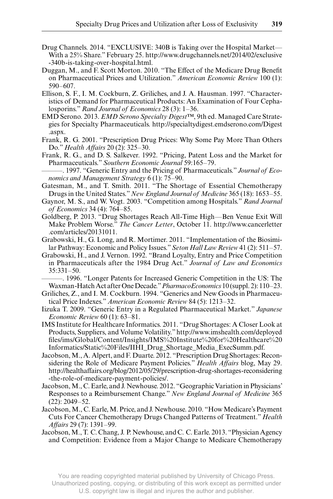- Drug Channels. 2014. "EXCLUSIVE: 340B is Taking over the Hospital Market— With a 25% Share." February 25. http://www.drugchannels.net/2014/02/exclusive -340b-is-taking-over-hospital.html.
- Duggan, M., and F. Scott Morton. 2010. "The Effect of the Medicare Drug Benefit on Pharmaceutical Prices and Utilization." *American Economic Review* 100 (1): 590–607.
- Ellison, S. F., I. M. Cockburn, Z. Griliches, and J. A. Hausman. 1997. "Characteristics of Demand for Pharmaceutical Products: An Examination of Four Cephalosporins." *Rand Journal of Economics* 28 (3): 1–36.
- EMD Serono. 2013. *EMD Serono Specialty Digest™*, 9th ed. Managed Care Strategies for Specialty Pharmaceuticals. http:// specialtydigest .emdserono .com /Digest .aspx.
- Frank, R. G. 2001. "Prescription Drug Prices: Why Some Pay More Than Others Do." *Health Affairs* 20 (2): 325–30.
- Frank, R. G., and D. S. Salkever. 1992. "Pricing, Patent Loss and the Market for Pharmaceuticals." *Southern Economic Journal* 59:165–79.
- ———. 1997. "Generic Entry and the Pricing of Pharmaceuticals." *Journal of Economics and Management Strategy* 6 (1): 75–90.
- Gatesman, M., and T. Smith. 2011. "The Shortage of Essential Chemotherapy Drugs in the United States." *New England Journal of Medicine* 365 (18): 1653–55.
- Gaynor, M. S., and W. Vogt. 2003. "Competition among Hospitals." *Rand Journal of Economics* 34 (4): 764–85.
- Goldberg, P. 2013. "Drug Shortages Reach All- Time High—Ben Venue Exit Will Make Problem Worse." *The Cancer Letter*, October 11. http:// www .cancerletter .com /articles /20131011.
- Grabowski, H., G. Long, and R. Mortimer. 2011. "Implementation of the Biosimilar Pathway: Economic and Policy Issues." *Seton Hall Law Review* 41 (2): 511–57.
- Grabowski, H., and J. Vernon. 1992. "Brand Loyalty, Entry and Price Competition in Pharmaceuticals after the 1984 Drug Act." *Journal of Law and Economics* 35:331–50.
	- ———. 1996. "Longer Patents for Increased Generic Competition in the US: The Waxman- Hatch Act after One Decade." *PharmacoEconomics* 10 (suppl. 2): 110–23.
- Griliches, Z., and I. M. Cockburn. 1994. "Generics and New Goods in Pharmaceutical Price Indexes." *American Economic Review* 84 (5): 1213–32.
- Iizuka T. 2009. "Generic Entry in a Regulated Pharmaceutical Market." *Japanese Economic Review* 60 (1): 63–81.
- IMS Institute for Healthcare Informatics. 2011. "Drug Shortages: A Closer Look at Products, Suppliers, and Volume Volatility." http:// www .imshealth .com /deployed files/ims/Global/Content/Insights/IMS%20Institute%20for%20Healthcare%20 Informatics /Static %20Files /IIHI \_Drug \_Shortage \_Media \_ExecSumm .pdf.
- Jacobson, M., A. Alpert, and F. Duarte. 2012. "Prescription Drug Shortages: Reconsidering the Role of Medicare Payment Policies." *Health Affairs* blog, May 29. http://healthaffairs.org/blog/2012/05/29/prescription-drug-shortages-reconsidering - the - role - of - medicare - payment - policies/.
- Jacobson, M., C. Earle, and J. Newhouse. 2012. "Geographic Variation in Physicians' Responses to a Reimbursement Change." *New England Journal of Medicine* 365 (22): 2049–52.
- Jacobson, M., C. Earle, M. Price, and J. Newhouse. 2010. "How Medicare's Payment Cuts For Cancer Chemotherapy Drugs Changed Patterns of Treatment." *Health Aff airs* 29 (7): 1391–99.
- Jacobson, M., T. C. Chang, J. P. Newhouse, and C. C. Earle. 2013. "Physician Agency and Competition: Evidence from a Major Change to Medicare Chemotherapy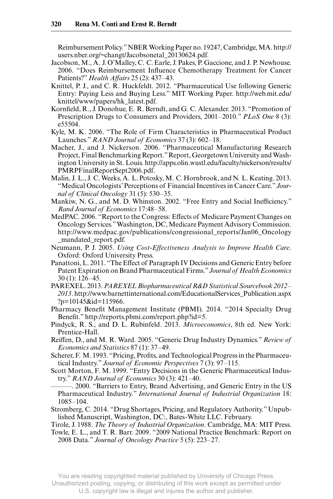Reimbursement Policy." NBER Working Paper no. 19247, Cambridge, MA. http:// users.nber.org/~changt/Jacobsonetal 20130624.pdf.

- Jacobson, M., A. J. O'Malley, C. C. Earle, J. Pakes, P. Gaccione, and J. P. Newhouse. 2006. "Does Reimbursement Influence Chemotherapy Treatment for Cancer Patients?" *Health Affairs* 25 (2): 437–43.
- Knittel, P. J., and C. R. Huckfeldt. 2012. "Pharmaceutical Use following Generic Entry: Paying Less and Buying Less." MIT Working Paper. http://web.mit.edu/ knittel/www/papers/hk latest.pdf.
- Kornfield, R., J. Donohue, E. R. Berndt, and G. C. Alexander. 2013. "Promotion of Prescription Drugs to Consumers and Providers, 2001–2010." *PLoS One* 8 (3): e55504.
- Kyle, M. K. 2006. "The Role of Firm Characteristics in Pharmaceutical Product Launches." *RAND Journal of Economics* 37 (3): 602–18.
- Macher, J., and J. Nickerson. 2006. "Pharmaceutical Manufacturing Research Project, Final Benchmarking Report." Report, Georgetown University and Washington University in St. Louis. http://apps.olin.wustl.edu/faculty/nickerson/results/ PMRPFinalReportSept2006 .pdf.
- Malin, J. L., J. C. Weeks, A. L. Potosky, M. C. Hornbrook, and N. L. Keating. 2013. "Medical Oncologists' Perceptions of Financial Incentives in Cancer Care." *Journal of Clinical Oncology* 31 (5): 530–35.
- Mankiw, N. G., and M. D. Whinston. 2002. "Free Entry and Social Inefficiency." *Rand Journal of Economics* 17:48–58.
- MedPAC. 2006. "Report to the Congress: Effects of Medicare Payment Changes on Oncology Services." Washington, DC, Medicare Payment Advisory Commission. http://www.medpac.gov/publications/congressional\_reports/Jan06\_Oncology \_mandated \_report .pdf.
- Neumann, P. J. 2005. *Using Cost-Effectiveness Analysis to Improve Health Care*. Oxford: Oxford University Press.
- Panattoni, L. 2011. "The Effect of Paragraph IV Decisions and Generic Entry before Patent Expiration on Brand Pharmaceutical Firms." *Journal of Health Economics* 30 (1): 126–45.
- PAREXEL. 2013. *PAREXEL Biopharmaceutical R&D Statistical Sourcebook 2012– 2013*. http:// www .barnettinternational .com /EducationalServices \_Publication .aspx  $?p=10145$ &id=115966.
- Pharmacy Benefit Management Institute (PBMI). 2014. "2014 Specialty Drug Benefit." http://reports.pbmi.com/report.php?id=5.
- Pindyck, R. S., and D. L. Rubinfeld. 2013. *Microeconomics*, 8th ed. New York: Prentice-Hall.
- Reiffen, D., and M. R. Ward. 2005. "Generic Drug Industry Dynamics." Review of *Economics and Statistics* 87 (1): 37–49.
- Scherer, F. M. 1993. "Pricing, Profits, and Technological Progress in the Pharmaceutical Industry." *Journal of Economic Perspectives* 7 (3): 97–115.
- Scott Morton, F. M. 1999. "Entry Decisions in the Generic Pharmaceutical Industry." *RAND Journal of Economics* 30 (3): 421–40.
- ———. 2000. "Barriers to Entry, Brand Advertising, and Generic Entry in the US Pharmaceutical Industry." *International Journal of Industrial Organization* 18: 1085–104.
- Stromberg, C. 2014. "Drug Shortages, Pricing, and Regulatory Authority." Unpublished Manuscript, Washington, DC:, Bates- White LLC. February.
- Tirole, J. 1988. *The Theory of Industrial Organization*. Cambridge, MA: MIT Press.
- Towle, E. L., and T. R. Barr. 2009. "2009 National Practice Benchmark: Report on 2008 Data." *Journal of Oncology Practice* 5 (5): 223–27.